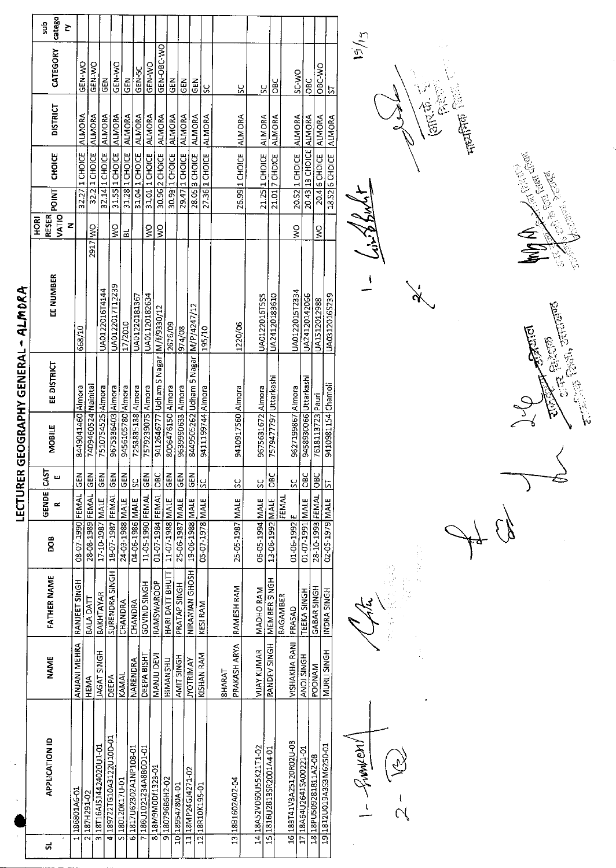|   |                          |                        |                    |                  |            |                     |                       |                                       | LECTURER GEOGRAPHY GENERAL - ALMORA |                                                   |       |                        |                 |               |               |
|---|--------------------------|------------------------|--------------------|------------------|------------|---------------------|-----------------------|---------------------------------------|-------------------------------------|---------------------------------------------------|-------|------------------------|-----------------|---------------|---------------|
| ದ | <b>APPLICATION ID</b>    | <b>NAME</b>            | <b>FATHER NAME</b> | ров<br>С         | GENDE<br>œ | īй<br>ш             | <b>MOBILE</b>         | EE DISTRICT                           | EE NUMBER                           | <b>VATIO</b><br>RESER <sup>T</sup><br><b>ROKI</b> | POINT | <b>CHOICE</b>          | <b>DISTRICT</b> | CATEGORY      | catego<br>dus |
|   |                          |                        |                    |                  |            |                     |                       |                                       |                                     | Z                                                 |       |                        |                 |               | Σ             |
|   | 186801A6-01              | ANJANI MEHRA           | RANJEET SINGH      | 08-07-1990 FEMAL |            | 문<br>$\overline{a}$ | 8449041460 Almora     |                                       | 668/10                              |                                                   |       | 32.27 1 CHOICE         | ALMORA          | GEN-WO        |               |
|   | 2187H291-02              | HEMA                   | BALA DATI          | 28-08-1989 FEMAL |            | 틦                   | 7409460524 Nainital   |                                       |                                     | 2917 WO                                           |       | 32.2 1 CHOICE          | ALMORA          | <b>GEN WO</b> |               |
|   | 3 18T16AJS14424020U1-01  | <b>JAGAT SINGH</b>     | BAKHTAYAR          | 17-10-1987 MALE  |            | <b>ABD</b>          | 7510754525 Almora     |                                       | UA0122016T4144                      |                                                   |       | 32.14 1 CHOICE         | ALMORA          | GEN           |               |
|   | 4189722TG10A3122U10D-01  | DEEPA                  | SURENDRA SINGH     | 18-07-1987 FEMAL |            | $rac{2}{5}$         | 9675336403 Almora     |                                       | UA0122017T12239                     | <b>S</b>                                          |       | 31.55 1 CHOICE         | <b>ALMORA</b>   | GEN-WO        |               |
|   | S 180120K17U-01          | KAMAL                  | CHANDRA            | 24-03-1988 MALE  |            | $rac{1}{2}$         | 9456105780 Almora     |                                       | 17/2010                             | 리                                                 |       | 31.28 1 CHOICE         | <b>ALMORA</b>   | <b>GEN</b>    |               |
|   | 61817U62302A1NP108-01    | <b>NARENDRA</b>        | CHANDRA            | 04-06-1986 MALE  |            | ĮSC                 | 7253835138 Almora     |                                       | UA01220181367                       |                                                   |       | 31.04 1 CHOICE         | <b>ALMORA</b>   | <b>GEN-5C</b> |               |
|   | 7186U1021234A8BOD1-01    | DEEPA BISHT            | GOVIND SINGH       | 11-05-1990 FEMAL |            | <b>IGEN</b>         | 7579239075 Almora     |                                       | UA01120182634                       | $\geq$                                            |       | 31.01 1 CHOICE         | ALMORA          | GEN WO        |               |
|   | 8 18 M9 M 0 D f 13 23-01 | MANJU DEVI             | <b>RAMSWAROOP</b>  | 01-07-1984 FEMAL |            | <b>Jap</b>          |                       | 9412646777 Udham S Nagar 1M/f/9330/12 |                                     | $\frac{8}{5}$                                     |       | 30.96 2 CHOICE         | ALMORA          | GEN-OBC-WO    |               |
|   | 9 180796B6H2-02          | HIMANSHU               | HARI DATT BHUTT    | 11-07-1988 MALE  |            | $rac{5}{65}$        | 8006476150 Almora     |                                       | 2676/09                             |                                                   |       | 30.93 1 CHOICE         | <b>ALMORA</b>   | GEN           |               |
|   | 10 18954780A-01          | AMIT SINGH             | PRATAP SINGH       | 25-06-1987 MALE  |            | <b>IGEN</b>         | 9639990633 Almora     |                                       | 974/08                              |                                                   |       | 29.47 1 CHOICE         | <b>ALMORA</b>   |               |               |
|   | 11 18MP24GJ4271-02       | <b><i>NOTRIMAY</i></b> | NIRANJAN GHOSH     | 19-06-1988 MALE  |            | <b>SEN</b>          |                       | 8449505262 Udham 5 Nagar M/P/4247/12  |                                     |                                                   |       |                        |                 | <b>GEN</b>    |               |
|   | 1218R10K195-01           | KISHAN RAM             | KESI RAM           | 05-07-1978 MALE  |            | <u>sc</u>           | 9411199744 Almora     |                                       |                                     |                                                   |       | 28.05 3 CHOICE         | <b>ALMORA</b>   | $rac{2}{5}$   |               |
|   |                          |                        |                    |                  |            |                     |                       |                                       | 195/10                              |                                                   |       | 27.36 1 CHOICE         | ALMORA          | <u>ss</u>     |               |
|   |                          | <b>BHARAT</b>          |                    |                  |            |                     |                       |                                       |                                     |                                                   |       |                        |                 |               |               |
|   | 13 18B1602A02-04         | PRAKASH ARYA           | RAMESH RAM         | 25-05-1987 MALE  |            | <u>sc</u>           | 9410917560 Almora     |                                       | 1220/06                             |                                                   |       | 26.99 1 CHOICE ALMORA  |                 | <u>s</u>      |               |
|   | 14 18A52V06OU55K21T1-02  | <b>VIJAY KUMAR</b>     | <b>MADHO RAM</b>   | 06-05-1994 MALE  |            | <u>sc</u>           | 9675631672 Almora     |                                       | <b>UA0122016T5S5</b>                |                                                   |       | 21.25 1 CHOICE         |                 |               |               |
|   | 15 1816U2813SR2001A4-01  | RANDEV SINGH           | MEMBER SINGH       | 13-06-1992 MALE  |            | $rac{C}{C}$         | 7579477797 Uttarkashi |                                       | UA24120183610                       |                                                   |       | 21.01 7 CHOICE         | <b>ALMORA</b>   | š             |               |
|   |                          |                        | <b>BAGAMBER</b>    |                  | FEMAL      |                     |                       |                                       |                                     |                                                   |       |                        | ALMORA          | OBC           |               |
|   | 16 183T41V3A25120R02U-03 | VISHAKHA RANI          | PRASAD             | 01-06-1992 E     |            | $\frac{6}{5}$       | 9627199867 Almora     |                                       | UA0122015T2334                      | Š                                                 |       | 20.52 1 CHOICE ALMORA  |                 | <b>OWOS</b>   |               |
|   | 17 18A64U2641SA00221-01  | <b>ANOJ SINGH</b>      | TEEKA SINGH        | 01-07-1991 MALE  |            | <b>OBC</b>          | 9458930066 Uttarkashi |                                       | UA24120142066                       |                                                   |       | 20.43 13 CHOICE ALMORA |                 | <b>Dac</b>    |               |
|   | 18 18 PU509281811A2-08   | <b>POONAM</b>          | GABAR SINGH        | 28-10-1993 FEMAL |            | $rac{C}{D}$         | 7618113723 Pauri      |                                       | UA1512012988                        | ş                                                 |       | 20.4 6 CHOICE ALMORA   |                 | OBC-WO        |               |
|   | 19 1812U019A3S3M6250-01  | MURLI SINGH            | INDRA SINGH        | 02-05-1979 MALE  |            | 5                   | 9410981154 Chamoli    |                                       | UA03120165239                       |                                                   |       | 18.52 6 CHOICE         | <b>ALMORA</b>   | <u>ភ</u>      |               |
|   |                          |                        |                    |                  |            |                     |                       |                                       |                                     |                                                   |       |                        |                 |               |               |

 $1 - \frac{\sqrt{3}}{2}$  $\left(\widetilde{\gamma}\right)$  $\frac{1}{\gamma}$ 

机电压器

i<br>N

بنقشتاها らっただい  $\frac{1}{3}$ 

**Article Street** 

 $15/15$  $\frac{1}{\sqrt{2}}\int_{0}^{\sqrt{2}}\frac{1}{\sqrt{2}}\left( \frac{1}{\sqrt{2}}\right) ^{2}d\mu d\nu$ 官员

Ķ

 $\frac{1}{\sqrt{2}}\sum_{i=1}^{n}$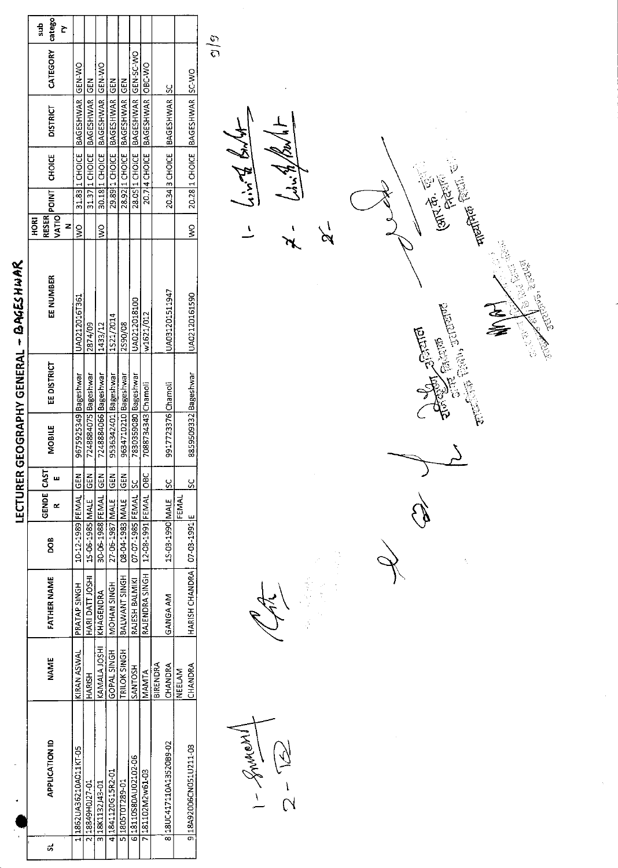|                                                                                  |  |  |                  |                      |             | LECTURER GEOGRAPHY GENERAL - BAGES HWAR |                        |                                |                                    |               |                    |
|----------------------------------------------------------------------------------|--|--|------------------|----------------------|-------------|-----------------------------------------|------------------------|--------------------------------|------------------------------------|---------------|--------------------|
| GENDE<br>80a<br><b>FATHER NAME</b><br><b>NAME</b><br><b>APPLICATION ID</b>       |  |  | CAST             | <b>MOBILE</b>        | EE DISTRICT | EE NUMBER                               | <b>RESER</b><br>ξ<br>z | <b>CHOICE</b><br>IVATIO POINTI | <b>DISTRICT</b>                    | CATEGORY      | catego<br>sub<br>È |
| 10-12-1989 FEMAL<br>PRATAP SINGH<br>KIRAN ASWAL<br>L11862UA36210A011KT-05        |  |  | GEN <sup>T</sup> | 9675925349 Bageshwar |             | UA0212016T361                           | ş                      |                                | 31.83 I CHOICE BAGESHWAR GEN-WO    |               |                    |
| 15-06-1985 MALE<br>HARI DATT JOSHI<br>HARISH<br>2118849H0J27-01                  |  |  | 一乙巴              | 7248884075 Bageshwar |             | 2874/09                                 |                        |                                | 31.37 I CHOICE BAGESHWAR GEN       |               |                    |
| 30-06-1988 FEMAL<br>KHAGENDRA<br>KAMALA JOSHI<br>3 18 132 143-01                 |  |  | IN<br>25         | 7248884066 Bageshwar |             | 1433/12                                 | $\frac{8}{5}$          |                                | 30.18 1 CHOICE BAGESHWAR GEN-WO    |               |                    |
| 27 06 1987 MALE<br>MOHAN SINGH<br>GOPAL SINGH<br>4 1841120 G15R2-01              |  |  | $\frac{2}{5}$    | 9536342401 Bageshwar |             | 1521/2014                               |                        |                                | 29.8911 CHOICE   BAGESHWAR         | $\frac{5}{5}$ |                    |
| 08-04-1983 MALE<br>BALWANT SINGH<br>TRILOK SINGH<br>5 1805 TOT289-01             |  |  | $\frac{2}{5}$    | 9634710210 Bageshwar |             | 2590/08                                 |                        |                                | 28.9211 CHOICE BAGESHWAR GEN       |               |                    |
| 07-07-1985 FEMAL ISC<br>RAJESH BALMIKI<br><b>SANTOSH</b><br>6 18110580AU02102-06 |  |  |                  | 7830359080 Bageshwar |             | UA0212018100                            |                        |                                | 28.0S 1 CHOICE BAGESHWAR GEN-SC-WO |               |                    |
| 12-08-1991 FEMAL<br>RAJENDRA SINGH<br>MANTA<br>7 281102M2w61-03                  |  |  | မ္မွ             | 7088734343 Chamoli   |             | w1621/012                               |                        |                                | 20.714 CHOICE BAGESHWAR OBC-WO     |               |                    |
| <b>BIRENDRA</b>                                                                  |  |  |                  |                      |             |                                         |                        |                                |                                    |               |                    |
| 15-03-1990 MALE<br>GANGA AM<br>CHANDRA<br>8 18 UC417110A13520B9-02               |  |  | g                | 9917723376 Chamoli   |             | UA031201511947                          |                        |                                | 20.34 3 CHOICE BAGESHWAR ISC       |               |                    |
| <b>FENIAL</b><br>NEELAM                                                          |  |  |                  |                      |             |                                         |                        |                                |                                    |               |                    |
| HARISH CHANDRA   07-03-1991 E<br>CHANDRA<br>9 18A92006CN051U211-03               |  |  |                  | 8859509332 Bageshwar |             | UA02120161590                           | $\frac{1}{2}$          |                                | 20.28 1 CHOICE BAGESHWAR SC-WO     |               |                    |

 $\frac{1}{2}-\frac{1}{12}$ 

Ŗ.

 $\frac{4y^2y}{y^2y^2}$  = 1  $\frac{1}{2}$ لیکو<br>پیدائش  $\frac{1}{\sqrt{2}}$ 

 $\frac{\partial}{\partial \rho}$ 

 $\chi$ 

**GIRTH** COLLEGE કે<br>ડિ **1996 Called Hammer Report Company A**<br>E **Augustine**<br>Registration Š 

E<br>Fo

 $\Delta$ Q)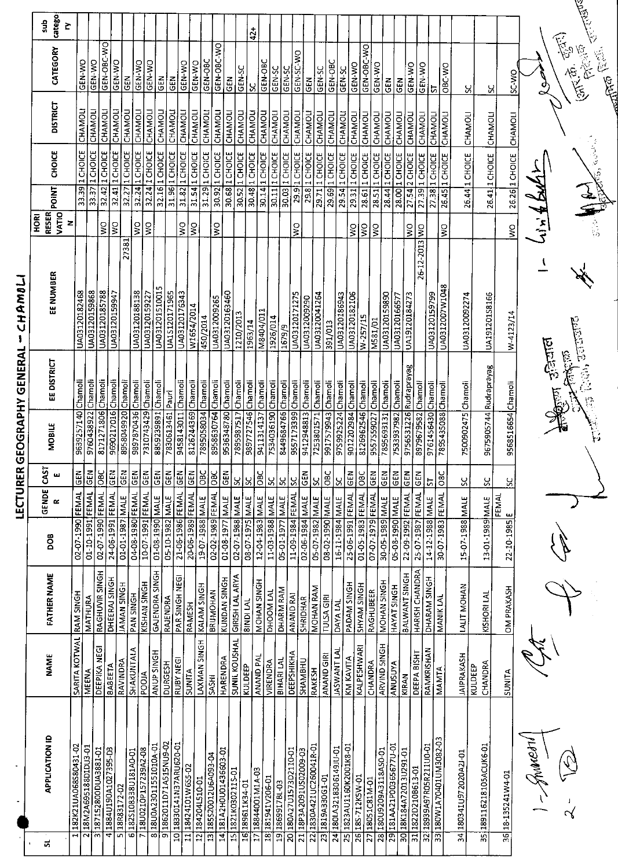|                        | catego<br>읈               | Š                 |                          |                           |                     |                           |                    |                         |                             |                               |                           |                         |                    |                           |                       |                       |                    |                    | $42 +$             |                                    |                 |                        |                    |                      |                      |                         |                         |                    |                             |                                |                        |                      |                        |                             |                                        |                        |                       |         |                         |                    |
|------------------------|---------------------------|-------------------|--------------------------|---------------------------|---------------------|---------------------------|--------------------|-------------------------|-----------------------------|-------------------------------|---------------------------|-------------------------|--------------------|---------------------------|-----------------------|-----------------------|--------------------|--------------------|--------------------|------------------------------------|-----------------|------------------------|--------------------|----------------------|----------------------|-------------------------|-------------------------|--------------------|-----------------------------|--------------------------------|------------------------|----------------------|------------------------|-----------------------------|----------------------------------------|------------------------|-----------------------|---------|-------------------------|--------------------|
|                        | CATEGORY                  |                   | GEN-WO                   | GEN-WO                    | GEN-OBC-WO          | GEN-WO                    | <b>GEN</b>         | GEN-WO                  | <b>GEN WO</b>               |                               | ĞΕλ                       | GEN-WO<br>GEN           |                    | GEN-08C<br><b>GEN WO</b>  |                       | GEN-OBC-WO<br>GEN     |                    | GEN-SC             | ჯ                  | GEN-OBC                            | GEN-SC          | GEN-SC                 | GEN-SC-WO          | $\tilde{d}$          | GEN-SC               | GEN-OBC                 | GEN-SC                  | <b>GEN WO</b>      | GEN-OBC-WO                  | GEN-WO                         | GEN                    | GEN                  | GEN WO                 | GEN-WO                      | $ \bar{\sigma}%  ^2_{\Delta}(\vec{r})$ | OBC-WO                 |                       | ပ္တ     | χ                       | ר ויינ             |
|                        | <b>DISTRICT</b>           |                   | CHAMOLI                  | CHAMOLI                   | CHAMOLI             | CHAMOLI                   | CHAMOLI            | CHAMOLI                 | CHAMOLI                     |                               | <b>CHAMOLI</b><br>CHAMOLI | CHAMOLI                 |                    | <b>CHAMOLI</b><br>CHAMOLI |                       | CHAMOLI<br>CHAMOLI    |                    | <b>CHAMOLI</b>     | CHAMOLI            | CHAMOLI                            | CHAMOLI         | CHAMOLI                | CHAMOLI            | CHAMOLI              | CHAMOLI              | CHAMOLI                 | CHAMOLI                 | <b>CHAMOLI</b>     | CHAMOLI                     | CHAMOLI                        | <b>CHAMOLI</b>         | CHAMOLI              | CHAMOL                 | CHAMOLI                     | CHAMOLI                                | <b>CHAMOLI</b>         |                       | CHAMOLI | <b>CHAMOLI</b>          | <b>CHAMOL</b>      |
|                        | <b>CHOICE</b>             |                   | 33.39 1 CHOICE           | $33.371$ CHOICE           | 32.42 1 CHOICE      | 32.41 1 CHOICE            | 32.27 1 CHOICE     | 32.24 1 <b>СНОГЕ</b>    | $32.24$ <sub>1</sub> CHOICE | 32.16 1 CHOICE                | 31.96 1 CHOICE            | 31.82 1 CHOICE          | 31.54 1 CHOICE     | 31.29 1 CHOICE            | 30.921 CHOICE         | 30.68 1 CHOICE        | 30.52 1 CHOICE     | 30.48 1 CHOICE     |                    | 30.14 1 CHOICE                     | 30.11 1 CHOICE  | 30.03 1 CHOICE         | $29.912$ CHOICE    | $29.8$ 1 CHOICE      | 29.71 1 СНОГСЕ       | 29.69 1 CHOICE          | 29.54 1 CHOICE          | 29.31 1 CHOICE     | $28.61$ $\downarrow$ CHOICE | 28.51 1 CHOICE                 | 28.44 1 CHOICE         | 28.00 1 CHOICE       | 27.54 2 CHOICE         | $27.39$ <sub>1</sub> CHOICE | 27.38 1 CHOICE                         | 26.45 1 CHOICE         | 26.44 1 CHOICE        |         | 26.41 1 CHOICE          | $26261$ CHOICE     |
|                        | POINT                     |                   |                          |                           |                     |                           |                    |                         |                             |                               |                           |                         |                    |                           |                       |                       |                    |                    |                    |                                    |                 |                        |                    |                      |                      |                         |                         |                    |                             |                                |                        |                      |                        |                             |                                        |                        |                       |         |                         |                    |
|                        | <b>RESER</b><br>HORI      | <b>VATIO</b><br>Z |                          |                           | $\gtrapprox$        | $\mathsf{S}^{\mathsf{O}}$ |                    | <b>S</b>                | ŞΜ                          |                               |                           | Š                       | Ş                  |                           | $\frac{1}{2}$         |                       |                    |                    |                    |                                    |                 |                        | Ş                  |                      |                      |                         |                         | $\mathsf{S}$       | $\mathsf{S}^{\mathsf{O}}$   | ļδ                             |                        |                      | š                      |                             |                                        | Ş                      |                       |         |                         | š                  |
| しっことしょ                 | EE NUMBER                 |                   | UA03120182468            | UA03120159868             | UA03120185788       | UA03120159947             | 27381              | UA03120188138           | UA03120159227               | UA031201510015                | <b>UALS120171965</b>      | UA03120176343           | W1654/2014         | 450/2014                  | UA0312009265          | UA03120163460         | 1210/2013          | 1963/14            | M8404/011          |                                    | 1926/014        | 1679/9                 | UA03120171275      | UA0312009290         | UA03120041264        | 391/013                 | UA03120186943           | UA03120182106      | W-257/15                    | M581/01                        | UA03120159890          | UA03120166577        | UA19120184273          | 26-12-2013 WO               | UA03120159799                          | UA0312007W1048         | UA03120092274         |         | UA191201S8166           | W-4123/14          |
| コイビロ ニュワ こ にこてとり フコワ ヒ | EE DISTRICT               |                   |                          |                           |                     |                           |                    |                         |                             |                               |                           |                         |                    |                           |                       |                       |                    |                    |                    |                                    |                 |                        |                    |                      |                      |                         |                         |                    |                             |                                |                        |                      |                        |                             |                                        |                        |                       |         |                         |                    |
|                        | <b>MOBILE</b>             |                   | 9639257140 Chamoli       | 9760438922 Chamoli        | 8171271806 Chamoli  | 9690217016 Chamoli        | 8958049920 Chamoli | 9897870436 Chamoli      | 7310743429 Chamoli          | 8859239891 Chamoli            | 7830613461 Pauri          | 9458143011 Chamoli      | 8126244369 Chamoli | 7895058034 Chamoli        | 8958630764 Chamoli    | 9536348780 Chamoli    | 7895987517 Chamoli | 9897727546 Chamoli | 9411314137 Chamoli | 7534036190 Chamoli                 |                 | 8449684766 Chamoli     | 9557173399 Chamoli | 9412948813 Chamoli   | 7253801571 Chamoli   | 9917579943 Chamoli      | 97S9925224 Chamoli      | 9012202984 Chamoli | 8126962546 Chamoli          | 9557559027 Chamoli             | 7895693131 Chamoli     | 7533937982 Chamoli   | 9756531226 Rudraprayag | 8979679582 Chamoli          | 9761456430 Chamoli                     | 7895435088 Chamoli     | 7500902475 Chamoli    |         | 9675905744 Rudraprayag  | 9568516654 Chamoli |
|                        | 5<br>$\mathcal{S}_{0}$    |                   | $rac{E}{2}$              | GEN                       | $rac{C}{28}$        | $\overline{\Xi}$          | GEN                | $rac{1}{2}$             | <b>GEN</b>                  |                               |                           |                         |                    |                           |                       |                       | <u>სა</u>          | $\infty$           | $rac{6}{6}$        | <u>ين</u>                          | $\frac{5}{5}$   | 5c                     | GEN                |                      | $\frac{8}{5}$        | $rac{1}{100}$           | $\frac{8}{2}$           | $rac{1}{100}$      | $rac{c}{28}$                | $rac{2}{5}$                    | <u>ទ្រទ្រ</u>          |                      | $\frac{5}{2}$          |                             | <b>Z</b>                               | Ō<br>$\overline{a}$    | ပ္တ                   |         | <u>ပ္</u>               | S,                 |
| בנט הים ב              | <b>GENDE</b><br>$\approx$ |                   |                          |                           |                     |                           |                    |                         |                             |                               |                           |                         |                    |                           |                       |                       |                    |                    |                    |                                    |                 |                        |                    |                      |                      |                         |                         |                    |                             |                                |                        |                      |                        |                             |                                        |                        |                       |         |                         | <b>FEMAL</b>       |
|                        | BOO                       |                   | 02-07-1990 FEMAL         | 01-10-1991 FEMAL          | 02-07-1990 FEMAL    | 24-06-1991 FEMAL          | 01-01-1987 MALE    | 04-08-1980 FEMAL        | 10-07-1991 FEMAL            | 01-08-1990 MALE               | 05-10-1982 MALE           | 21-06-1986 FEMAL        | 20-06-1989 FEMAL   |                           |                       | 03-07-1988 MALE OBC   | 02-07-1988 MALE    | 08-07-1975 MALE    |                    | 12-04-1983 MALE<br>11-03-1988 MALE | 05-01-1977 MALE | 11-09-1984 FEMAL       | 02-06-1984 MALE    | 05-07-1982 MALE      | 31MM 0661-20<br>31MM |                         | 16-11-1984 MALE         | 25-06-1991 FEMAL   | 01-05-1983 FEMAL            | 07-07-1979 FEMAL               | 30-05-1989 MALE        | 05-08-1990 MALE      | 22-09-1992 FEMAL       | 25-07-1987 FEMAL GEN        | 14-12-1988 MALE                        | 30-07-1983 FEMAL       | 15-07-1988 MALE       |         | 3JAM 6861-10-E1         | 22-10-1985 E       |
|                        | <b>FATHER NAME</b>        |                   |                          | MATHURA                   | RAGHUVIR SINGH      | DHEERAJ SINGH             | <b>JAMAN SINGH</b> | PAN SINGH               | KISHAN SINGH                | GAJENDRA SINGH                | RAJENDRA                  | PAR SINGH NEGI          | RAMESH             | KALAM SINGH               | <b>BRIJMOHAN</b>      | KUNDAN SINGH          | GIRISH LAL ARYA    | <b>BINDI LAL</b>   | MOHAN SINGH        | DHOOM LAL                          | DHARM RAM       | <b>ANAND RAI</b>       | <b>SHRIDHAR</b>    | MOHAN RAM            | <b>TULSA GIRI</b>    |                         | DAYA LAL                | PADAM SINGH        | SHYAM SINGH                 | RAGHUBEER                      | <b>MOHAN SINGH</b>     | <b>HAYAT SINGH</b>   | <b>BALWANT SINGH</b>   | <b>HARISH CHANDRA</b>       | DHARAM SINGH                           | MANIK LAL              | LALIT MOHAN           |         | KISHORI LAL             | <b>OM PRAKASH</b>  |
|                        | <b>NAME</b>               |                   | SARITA KOTWAL RAM SINGH  | <b>MEENA</b>              | DEEPIKA NEGI        | <b>BABEETA</b>            | RAVINDRA           | SHAKUNTALA              | POOJA                       | ANUP SINGH                    | <b>DURGESH</b>            | RUBY NEGI               | SUNITA             | LAXMAN SINGH              | SASHI                 | <b>HARENDRA</b>       | SUNIL KOUSHAL      | KULDEEP            | <b>ANAND PAL</b>   | VIRENDRA                           | BIHARI LAL      | <b>DEEPSHIKHA</b>      | <b>SHAMBHU</b>     | RAKESH               | ANAND GIRI           | <b>JASWANT LAL</b>      | KM KAVITA               |                    | KALPESHWARI                 | <b>ARVIND SINGH</b><br>CHANDRA |                        | <b>ANUSUYA</b>       | KIRAN                  | DEEPA BISHT                 | RAMKRISHAN                             | MAMTA                  | <b>JAIPRAKASH</b>     | KULDEEP | CHANDRA                 | SUNITA             |
|                        | <b>APPLICATION ID</b>     |                   | 182K21UA068S80431-02     | 2 18 M 2A 69518 8D1DU3-01 | 187152800DUA3881-01 | 41884U190A1027395-D3      | 18R83172-02        | $6$ 182S108338U181A0-01 | 18U0210P157239A2-08         | 8 18 JOA 230 11 55 10 10 A-01 | 91862011D71A515NU9-02     | IO 18330141N37ARU620-01 | 11 18424101W6S5-02 | 12 184204L510-01          | 13 185520012U6A093-04 | 14181A2H0U01436603-01 | 15 1821K0302115-01 | 16189611K34-01     | 17 18844001 M1A-03 | 18 181941 \206-01                  | 191869917BL-03  | 20 180A2701573D2110-01 | ED-600203112091122 | 1830A421UC260041R-01 | IG-1906EA6181        | 24 180LA3218306149JU-01 | 25 1823AU1160K2001K8-01 | 26 185-712K5W-01   | 27 18051C81M-01             | 28 180U9209A3118ASO-01         | 29181AA21P00365677U-01 | 10-18201310130291-01 |                        | 31 182202108613-01          | 32 18939A97R05R211U0-01                | E0-280KIND10p0ZAIW08I1 | 10-LCA020272020A2J-01 |         | 35 189116218105ACUK6-01 | 36 18-135241W4-01  |
|                        | ದ                         |                   | $\overline{\phantom{0}}$ |                           | $\bar{3}$           |                           | S                  |                         |                             |                               |                           |                         |                    |                           |                       |                       |                    |                    |                    |                                    |                 |                        |                    | 22,                  | 23                   |                         |                         |                    |                             |                                |                        |                      |                        |                             |                                        |                        |                       |         |                         |                    |
|                        |                           |                   |                          |                           |                     |                           |                    |                         |                             |                               |                           |                         |                    |                           |                       |                       |                    |                    |                    |                                    |                 |                        |                    |                      |                      |                         |                         |                    |                             |                                |                        |                      |                        |                             |                                        |                        |                       |         |                         |                    |

**IFCLINEB GEOGRAPHA GEMERAL - CHAWWI** 

्र<sub>िज</sub>न्त 马吉兰牌  $\ddot{\ddot{\phantom{1}}}$ 

المجمال<br>المجمال

(بالأنباء المجازاتية)<br>المحافظة المجازاتية

J<br>2

 $\frac{1}{4}$ 

**The Ready** 

 $\epsilon$  and  $\epsilon$ 

 $\sum\limits_{i=1}^N$ 

i<br>Silb

 $\overline{z}$ 

 $\int$  $2 - 5$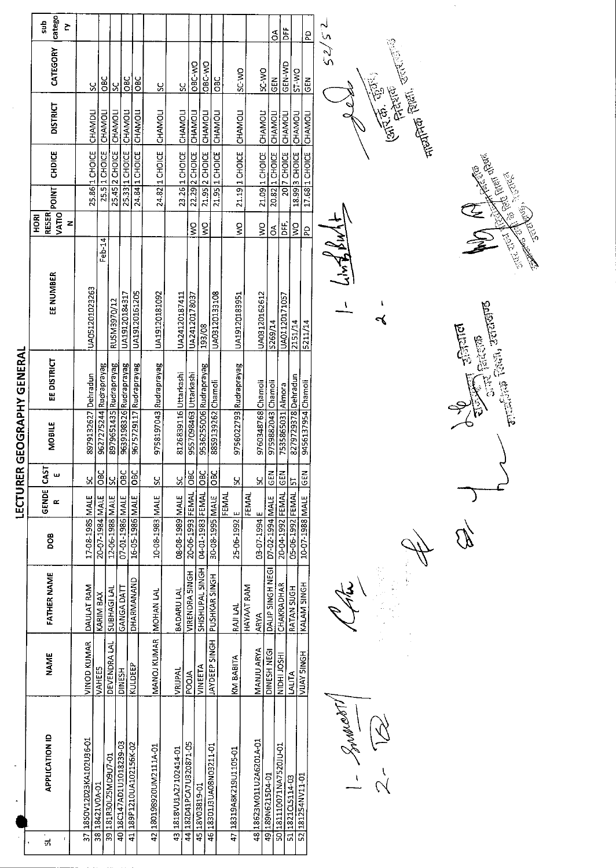| 52/52<br>sub<br>č<br><b>FF</b><br>g<br>ă<br>CATEGORY<br>OBC-WO<br><b>OBC WO</b><br>GEN-WD<br>SC-VO<br><b>DW-25</b><br><b>ST-WO</b><br>$rac{C}{D}$<br><b>OBC</b><br>38C<br><b>OBC</b><br>$rac{5}{2}$<br><b>SEN</b><br>SC<br>ပ္တ<br>š<br>$\frac{8}{5}$<br><b>DISTRICT</b><br>CHAMOLI<br>CHAMOLI<br>CHAMDLI<br>CHAMOLI<br>CHAMOLI<br>CHAMOLI<br>21.19 1 CHOICE CHAMOLI<br>CHAMOLI<br>CHAMOLI<br>CHAMOLI<br>CHAMOLI<br>CHAMOLI<br>CHAMOL<br>CHAMOLI<br>CHAMOL<br>CHAMOL<br>25.5 1 CHOICE<br>23.26 1 CHOICE<br>18.99 3 CHOICE<br>25.33   1 CHOICE<br>21.95 1 CHOICE<br>21.09 1 CHOICE<br>20.82 1 CHOICE<br>25.86 1 CHOICE<br>25.45 2 CHOICE<br>24.84 1 CHOICE<br>22.29 2 CHOICE<br>21.95 2 CHOICE<br>17.68 1 CHOICE<br>24.82 1 CHOICE<br>CHDICE<br>20 7 CHOICE<br>POINT<br>VATIO<br><b>RESER</b><br><b>HORI</b><br>$24\sqrt{10}$<br>Z<br>ş<br>ş<br>ş<br>片<br>DF<br>ş<br>ş<br>$\delta$<br><b>PD</b><br>$Feb-14$<br>EE NUMBER<br>UA051201023263<br>UA19120161205<br>UA03120133108<br>UA19120181092<br>UA03120162612<br>UA19120184317<br>UA24120187411<br>UA19120183951<br>UA24120178037<br>UA01120171057<br>RUSM3970/12<br>2151/14<br>5269/14<br>5211/14<br>193/08<br>EE DISTRICT<br>8979651435 Rudraprayag<br>9639198326 Rudraprayag<br>9675729117 Rudraprayag<br>9627275244 Rudraprayag<br>9758197043 Rudraprayag<br>9536255006 Rudraprayag<br>9756022793 Rudraprayag<br>9557098463 Uttarkashi<br>8126839116 Uttarkashi<br>8979132627 Dehradun<br>8279729378 Dehradun<br>9456137954 Chamoli<br>9760348768 Chamoli<br>8859139262 Chamoli<br>9759882043 Chamoli<br>7535865031 Almora<br><b>MOBILE</b> |                                                                                                    |  |  | LECTURER |                  | <b>GEOGRAPHY GENERAL</b> |  |  |  |        |
|------------------------------------------------------------------------------------------------------------------------------------------------------------------------------------------------------------------------------------------------------------------------------------------------------------------------------------------------------------------------------------------------------------------------------------------------------------------------------------------------------------------------------------------------------------------------------------------------------------------------------------------------------------------------------------------------------------------------------------------------------------------------------------------------------------------------------------------------------------------------------------------------------------------------------------------------------------------------------------------------------------------------------------------------------------------------------------------------------------------------------------------------------------------------------------------------------------------------------------------------------------------------------------------------------------------------------------------------------------------------------------------------------------------------------------------------------------------------------------------------------------------------------------------------------------------------------------------------|----------------------------------------------------------------------------------------------------|--|--|----------|------------------|--------------------------|--|--|--|--------|
|                                                                                                                                                                                                                                                                                                                                                                                                                                                                                                                                                                                                                                                                                                                                                                                                                                                                                                                                                                                                                                                                                                                                                                                                                                                                                                                                                                                                                                                                                                                                                                                                | GENDE CAST<br>œ<br>BOO<br><b>FATHER NAME</b><br><b>NAME</b><br><b>APPLICATION ID</b><br>្គ         |  |  |          | ш                |                          |  |  |  | catego |
|                                                                                                                                                                                                                                                                                                                                                                                                                                                                                                                                                                                                                                                                                                                                                                                                                                                                                                                                                                                                                                                                                                                                                                                                                                                                                                                                                                                                                                                                                                                                                                                                | 17-08-1985 MALE<br>DAULAT RAM<br>VINOD KUMAR<br>37 1850V12D23KA102U36-01                           |  |  |          | Š.               |                          |  |  |  |        |
|                                                                                                                                                                                                                                                                                                                                                                                                                                                                                                                                                                                                                                                                                                                                                                                                                                                                                                                                                                                                                                                                                                                                                                                                                                                                                                                                                                                                                                                                                                                                                                                                | 20-07-1984 MALE<br>KARIM BAX<br>VAHEES<br>38 18421V0A-01                                           |  |  |          | OBC              |                          |  |  |  |        |
|                                                                                                                                                                                                                                                                                                                                                                                                                                                                                                                                                                                                                                                                                                                                                                                                                                                                                                                                                                                                                                                                                                                                                                                                                                                                                                                                                                                                                                                                                                                                                                                                | 12-06-1988 MALE<br>SUBHAGI LAL<br>DEVENDRA LAL<br>39 181R30L25MD9U7-01                             |  |  |          | $rac{c}{s}$      |                          |  |  |  |        |
|                                                                                                                                                                                                                                                                                                                                                                                                                                                                                                                                                                                                                                                                                                                                                                                                                                                                                                                                                                                                                                                                                                                                                                                                                                                                                                                                                                                                                                                                                                                                                                                                | 07-01-1986 MALE<br>GANGA DATT<br><b>DINESH</b><br>40 18C147AD1U1018239-03                          |  |  |          | $rac{c}{\sigma}$ |                          |  |  |  |        |
|                                                                                                                                                                                                                                                                                                                                                                                                                                                                                                                                                                                                                                                                                                                                                                                                                                                                                                                                                                                                                                                                                                                                                                                                                                                                                                                                                                                                                                                                                                                                                                                                | 16-05-1986 MALE<br>DHARMANAND<br>KULDEEP<br>41 189P1210UA102156K-02                                |  |  |          | DBC              |                          |  |  |  |        |
|                                                                                                                                                                                                                                                                                                                                                                                                                                                                                                                                                                                                                                                                                                                                                                                                                                                                                                                                                                                                                                                                                                                                                                                                                                                                                                                                                                                                                                                                                                                                                                                                | $\frac{5}{5}$<br>10-08-1983 MALE<br>MANOJ KUMAR NOHAN LAL<br>42 180198920UM2111A-01                |  |  |          |                  |                          |  |  |  |        |
|                                                                                                                                                                                                                                                                                                                                                                                                                                                                                                                                                                                                                                                                                                                                                                                                                                                                                                                                                                                                                                                                                                                                                                                                                                                                                                                                                                                                                                                                                                                                                                                                | $\frac{5}{5}$<br>D8-08-1989 MALE<br>BADARU LAL<br>VRIJPAL<br>43 1818VU1A27102414-01                |  |  |          |                  |                          |  |  |  |        |
|                                                                                                                                                                                                                                                                                                                                                                                                                                                                                                                                                                                                                                                                                                                                                                                                                                                                                                                                                                                                                                                                                                                                                                                                                                                                                                                                                                                                                                                                                                                                                                                                | <b>OBC</b><br>20-06-1993 FEMAL<br><b>VIRENDRA SINGH</b><br><b>POOJA</b><br>44 182D41PCA7U320871-05 |  |  |          |                  |                          |  |  |  |        |
|                                                                                                                                                                                                                                                                                                                                                                                                                                                                                                                                                                                                                                                                                                                                                                                                                                                                                                                                                                                                                                                                                                                                                                                                                                                                                                                                                                                                                                                                                                                                                                                                | 04-01-1983 FEMAL OBC<br>SHISHUPAL SINGH<br>VINEETA<br>45 18V03819-01                               |  |  |          |                  |                          |  |  |  |        |
|                                                                                                                                                                                                                                                                                                                                                                                                                                                                                                                                                                                                                                                                                                                                                                                                                                                                                                                                                                                                                                                                                                                                                                                                                                                                                                                                                                                                                                                                                                                                                                                                | $rac{C}{C}$<br>30-08-1995 MALE<br>JAYDEEP SINGH   PUSHKAR SINGH<br>46 18301J3UA08N03211-01         |  |  |          |                  |                          |  |  |  |        |
|                                                                                                                                                                                                                                                                                                                                                                                                                                                                                                                                                                                                                                                                                                                                                                                                                                                                                                                                                                                                                                                                                                                                                                                                                                                                                                                                                                                                                                                                                                                                                                                                | ပ္က<br>FEMAL<br>25-06-1992 <sup>E</sup><br><b>RAJILAL</b><br>KM BABITA<br>47 18319A8K219U1105-01   |  |  |          |                  |                          |  |  |  |        |
|                                                                                                                                                                                                                                                                                                                                                                                                                                                                                                                                                                                                                                                                                                                                                                                                                                                                                                                                                                                                                                                                                                                                                                                                                                                                                                                                                                                                                                                                                                                                                                                                | ٢,<br>FEMAL<br>03-07-1994 E<br>HAYAAT RAM<br><b>ARYA</b><br>MANJUARYA<br>48 18623 M011 U2A6201A-01 |  |  |          |                  |                          |  |  |  |        |
|                                                                                                                                                                                                                                                                                                                                                                                                                                                                                                                                                                                                                                                                                                                                                                                                                                                                                                                                                                                                                                                                                                                                                                                                                                                                                                                                                                                                                                                                                                                                                                                                | $\frac{2}{5}$<br>D7-02-1994 MALE<br>DALIP SINGH NEGI<br>DINESH NEGI<br>49 189N6215D4-01            |  |  |          |                  |                          |  |  |  |        |
|                                                                                                                                                                                                                                                                                                                                                                                                                                                                                                                                                                                                                                                                                                                                                                                                                                                                                                                                                                                                                                                                                                                                                                                                                                                                                                                                                                                                                                                                                                                                                                                                | 20-04-1992 FEMAL GEN<br>CHAKRADHAR<br>NIDHI JOSHI<br>50 181110071MA7520JU-01                       |  |  |          |                  |                          |  |  |  |        |
|                                                                                                                                                                                                                                                                                                                                                                                                                                                                                                                                                                                                                                                                                                                                                                                                                                                                                                                                                                                                                                                                                                                                                                                                                                                                                                                                                                                                                                                                                                                                                                                                | $\frac{1}{2}$<br>05-06-1992 FEMAL<br>RATAN SUGH<br>LALIFA<br>51 1821 CL5114-03                     |  |  |          |                  |                          |  |  |  |        |
|                                                                                                                                                                                                                                                                                                                                                                                                                                                                                                                                                                                                                                                                                                                                                                                                                                                                                                                                                                                                                                                                                                                                                                                                                                                                                                                                                                                                                                                                                                                                                                                                | <b>GEN</b><br>10-07-1988 MALE<br>KALAM SINGH<br><b>VIJAY SINGH</b><br>52 181254NV11-01             |  |  |          |                  |                          |  |  |  |        |
|                                                                                                                                                                                                                                                                                                                                                                                                                                                                                                                                                                                                                                                                                                                                                                                                                                                                                                                                                                                                                                                                                                                                                                                                                                                                                                                                                                                                                                                                                                                                                                                                | Summer 1                                                                                           |  |  |          |                  |                          |  |  |  |        |

1- Rouwert

 $\frac{1}{2}$ 

IP

 $= \frac{1}{3} \sqrt{1/3} \frac{1}{3} \frac{1}{3} \frac{1}{3} \frac{1}{3} \frac{1}{3} \frac{1}{3} \frac{1}{3} \frac{1}{3} \frac{1}{3} \frac{1}{3} \frac{1}{3} \frac{1}{3} \frac{1}{3} \frac{1}{3} \frac{1}{3} \frac{1}{3} \frac{1}{3} \frac{1}{3} \frac{1}{3} \frac{1}{3} \frac{1}{3} \frac{1}{3} \frac{1}{3} \frac{1}{3} \frac{1}{3} \frac{1}{3} \frac{1}{3} \frac{1}{3} \frac{1}{3} \frac$  $\overline{\mathcal{L}}$  .

TELETATION CENTRALISTICS

(आर.क. खुलः)<br>(अस्ति स्वरूपक



 $\hat{\boldsymbol{\gamma}}$ 

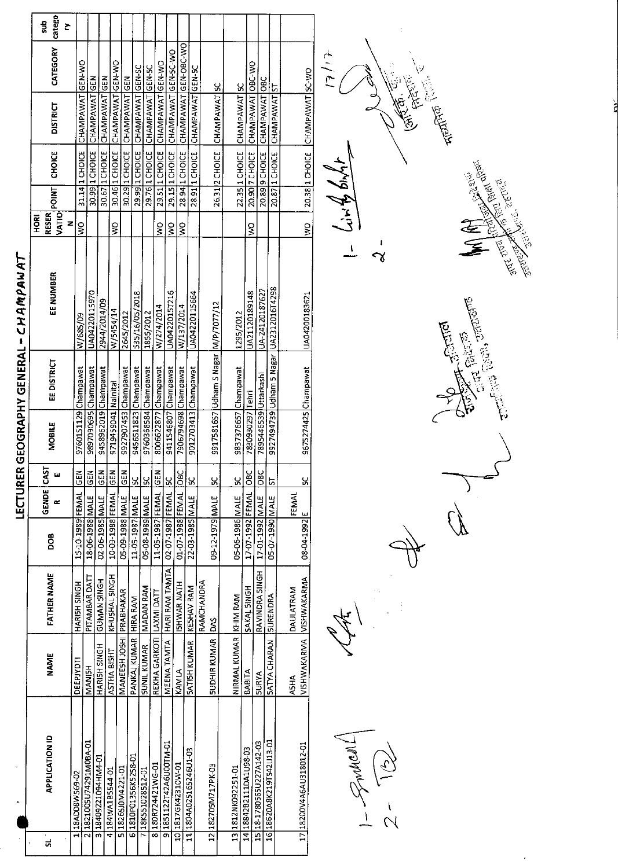|   |                          |                           |                         |                      | LECTUR     |                  |                       |                                      | ER GEOGRAPHY GENERAL - CHAMPAY          |                            |                 |                |                                    |                 |          |
|---|--------------------------|---------------------------|-------------------------|----------------------|------------|------------------|-----------------------|--------------------------------------|-----------------------------------------|----------------------------|-----------------|----------------|------------------------------------|-----------------|----------|
| ದ | <b>APPLICATION ID</b>    | NAME                      | <b>FATHER NAME</b>      | DOB                  | GENDE<br>œ | 55<br>ш          | MOBILE                | EE DISTRICT                          | EE NUMBER                               | <b>RESER</b><br><b>DED</b> | $ VATIO $ POINT | CHOICE         | <b>DISTRICT</b>                    | CATEGORY catego | dus<br>č |
|   | 1 18ADD8W569-02          | DEEPJYDTI                 | HARISH SINGH            | 15-10-1989 FEMAL GEN |            |                  | 9760151129 Champawat  |                                      | W/685/09                                | z<br>ş                     |                 | 31.14 1 CHOICE | CHAMPAWAT GEN-WO                   |                 |          |
|   | 211821005U74291M0BA-01   | <b>MANISH</b>             | PITAMBAR DATT           | 18-06-1988 MALE      |            | <b>GEN</b>       | 9897090695 Champawat  |                                      | UA04220115970                           |                            |                 |                | 30.99 1 CHOICE CHAMPAWAT GEN       |                 |          |
|   | 318409221094HM4-01       | HARISH SINGH              | GUMAN SINGH             | 02-06-1985 MALE      |            | $rac{2}{65}$     | 9458962019 Champawat  |                                      | 2944/2014/09                            |                            |                 | 30.67 1 CHOICE | CHAMPAWAT <sup>1</sup> GEN         |                 |          |
|   | 4 184WA1B5544-01         | ASTHA BISHT               | KHUSHAL SINGH           | 10-03-1988 FEMAL     |            | GEN              | 9719459041 Nainital   |                                      | W/5454/14                               | $\geq$                     |                 |                | 30.46 1 CHOICE CHAMPAWAT GEN-WO    |                 |          |
|   | 5 18265J0M4221-01        | MANEESH JOSHI PRABHAKAR   |                         | 05-09-1988 MALE      |            | GEN              | 9927907453 Champawat  |                                      | 2645/2012                               |                            |                 |                | 30.29 1 CHOICE CHAMPAWAT GEN       |                 |          |
|   | 6 1810P01356K5258-01     | PANKAJ KUMAR HIRA RAM     |                         | 11-05-1987 MALE      |            | ន្ត              | 9456511823 Champawat  |                                      | 535/16/05/2018                          |                            |                 |                | 29.99 1 CHOICE CHAMPAWAT GEN-SC    |                 |          |
|   | 7 18K551028512-01        | <b>SUNIL KUMAR</b>        | <b>MADAN RAM</b>        | 05-08-1989 MALE      |            | $\frac{6}{5}$    | 9760368584 Champawat  |                                      | 1855/2012                               |                            |                 |                | 29.76 1 CHOICE CHAMPAWAT GEN-5C    |                 |          |
|   | 8 180R724421WG-01        | REKHA GARKOTI  LAXMI DATT |                         | 11-05-1987 FEMAL     |            | 6EN              | 8006622877 Champawat  |                                      | W/274/2014                              | ş                          |                 |                | 29.511 CHOICE CHAMPAWAT GEN-WO     |                 |          |
|   | 9 1851122742A6U00TM-01   | MEENA TAMTA               | HARI RAM TAMTA          | 02-07-1987 FEMAL 5C  |            |                  | 9411546807 Champawat  |                                      | UA0422015T216                           | $\tilde{\mathbf{z}}$       |                 |                | 29.15 1 CHOICE CHAMPAWAT GEN-5C-WO |                 |          |
|   | 10 1817GK42310W-01       | KAMLA                     | ISHWAR NATH             | 01-07-1988 FEMAL     |            | $rac{6}{5}$      | 7906794698 Champawat  |                                      | W/137/2014                              | ş                          |                 | 28.94 1 CHOICE | CHAMPAWAT GEN-OBC-WO               |                 |          |
|   | 11 1804A025165246U1-03   | SATISH KUMAR              | KESHAV RAM              | 22-03-1985 MALE      |            | X                | 9012703413 Champawat  |                                      | UA04220115664                           |                            |                 |                | 28.91 1 CHOICE CHAMPAWAT GEN-SC    |                 |          |
|   |                          |                           | RAMCHANDRA              |                      |            |                  |                       |                                      |                                         |                            |                 |                |                                    |                 |          |
|   | 12 182705M717PK-03       | <b>SUDHIR KUMAR DAS</b>   |                         | 09-12-1979 MALE      |            | $\frac{6}{5}$    |                       | 9917581657 Udham S Nagar M/P/7077/12 |                                         |                            |                 | 26.31 2 CHOICE | CHAMPAWAT SC                       |                 |          |
|   | 13 1812NK092251-01       | NIRMAL KUMAR KHIM RAM     |                         | 05-06-1986 MALE      |            | <u>ყ</u>         |                       |                                      |                                         |                            |                 |                |                                    |                 |          |
|   | 14 18842B2111DA1U98-03   |                           |                         |                      |            |                  | 9837376657 Champawat  |                                      | 1295/2012                               |                            |                 |                | 22.35 1 CHOICE CHAMPAWAT SC        |                 |          |
|   |                          | BABITA                    | SAKAL SINGH             | 17-07-1992 FEMAL     |            | OBC              | 7830930297 Tehri      |                                      | UA21120189148                           | ş                          |                 |                | 20.90 7 CHOICE CHAMPAWAT OBC-WO    |                 |          |
|   | 15 18-1780565U227A142-03 | <b>SURYA</b>              | RAVINDRA SINGH          | 17-01-1992 MALE      |            | $rac{c}{\infty}$ | 7895446539 Uttarkashi |                                      | UA-24120187627                          |                            |                 | 20.89 9 CHOICE | CHAMPAWAT OBC                      |                 |          |
|   | 16 18620A8K219T542U13-01 | <b>SATYA CHARAN</b>       | SURENDRA                | 05-07-1990 MALE      |            | <u>5</u>         |                       |                                      | 9927494239 Udham 5 Nagar UA2312016T4298 |                            |                 |                | 20.87   1 CHOICE   CHAMPAWAT ST    |                 |          |
|   |                          | <b>A5HA</b>               | DAULATRAM               |                      | FEMAL      |                  |                       |                                      |                                         |                            |                 |                |                                    |                 |          |
|   | 17 18200V4A6AU318012-01  |                           | VISHWAKARMA VISHWAKARMA | 08-04-1992 E         |            | ម្ល              | 9675274425 Champawat  |                                      | LJA04200183621                          | <b>SAC</b>                 |                 |                | 20 38 1 CHOICE CHAMPAMAT SC.MO     |                 |          |

 $\frac{1}{2} - \frac{3}{100}$ 

 $\frac{1}{\sqrt{2}}$ 

**CONTACTOR**  $\mathcal{O}$ 

à,

**The Division** 

 $41/6$ **Calciers**  $1 - (\sin \frac{\beta}{2}) \sin \frac{1}{2}$  $\frac{1}{\alpha}$ 

Sentantistik Republik **STATE STATE REGISTED**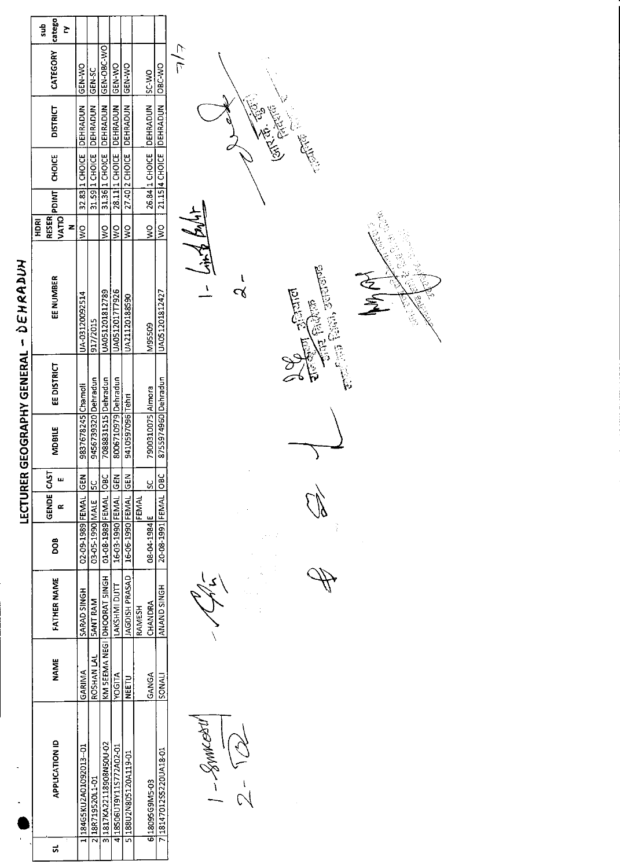| ţ                                       |
|-----------------------------------------|
| $\frac{1}{2}$<br>i<br>.<br>.<br>.<br>֚֞ |
| j<br>!<br>i<br>J<br>į                   |
| i<br>i                                  |
| ì                                       |

|                       |                                                                                  | <b>IGEN-SC</b>                                                           | OSC-V3C-V20                                                                                            |                                                                                   | <b>ON-N39</b>                                                           |              |                                                                                                               |
|-----------------------|----------------------------------------------------------------------------------|--------------------------------------------------------------------------|--------------------------------------------------------------------------------------------------------|-----------------------------------------------------------------------------------|-------------------------------------------------------------------------|--------------|---------------------------------------------------------------------------------------------------------------|
|                       |                                                                                  |                                                                          |                                                                                                        |                                                                                   |                                                                         |              |                                                                                                               |
| ς<br>Μ                |                                                                                  |                                                                          | ş                                                                                                      | ş                                                                                 | ς<br>Μ                                                                  |              | 9<br>≷                                                                                                        |
| JA-03120092514        |                                                                                  | 917/2015                                                                 | A051201812789                                                                                          | JA0512017T7926                                                                    | JA21120188590                                                           |              | M95509                                                                                                        |
|                       |                                                                                  |                                                                          |                                                                                                        |                                                                                   |                                                                         |              |                                                                                                               |
|                       |                                                                                  |                                                                          |                                                                                                        |                                                                                   |                                                                         |              |                                                                                                               |
|                       |                                                                                  |                                                                          |                                                                                                        |                                                                                   |                                                                         |              | ಀೢ                                                                                                            |
|                       |                                                                                  |                                                                          |                                                                                                        |                                                                                   |                                                                         |              | 08 04 1984 E                                                                                                  |
| SARAD SINGH           |                                                                                  | <b>SANT RAM</b>                                                          |                                                                                                        | LAKSHMI DUTT                                                                      | AGDISH PRASAD                                                           | RAMESH       | CHANDRA                                                                                                       |
| GARINA                |                                                                                  | ROSHAN LAL                                                               |                                                                                                        | <b>OGITA</b>                                                                      | n<br>Fe                                                                 |              | S<br>S<br>ANG A                                                                                               |
| 1284G5KU2A01092013-01 |                                                                                  |                                                                          |                                                                                                        |                                                                                   |                                                                         |              | 31817KA22118908N50U-02<br>18506UT9Y11S772A02-01<br>51188U2N805120A119-01<br>118R719520L1-01<br>6 18095G9M5-03 |
|                       | 32.8311 CHOICE   DEHRADUN   GEN-VO<br>9837678245 Chamoli<br>02-09-1989 FEMAL GEN | 31.59   1 CHOICE   DEHRADUN<br>9456739320 Dehradun<br>03-05-1990 MALE SC | 31.36 1 CHOICE DEHRADUN<br>7088331515 Dehradun<br>01-08-1989 FEMAL OBC<br>KM SEEMA NEGI IDHOORAT SINGH | 28.1111 CHOICE   DEHRADUN   GEN-WO<br>8006710979 Dehradun<br>16-03-1990 FEMAL GEN | 27.40 2 CHOICE DEHRADUN<br>9410597096 Tehri<br>  16-06-1990 FEMAL   GEN | <b>FEMAL</b> | 26.84 1 CHOICE DEHRADUN SC-WO<br>7900310075 Almora                                                            |

 $|1 - \mathcal{S}$ wwerl  $2 - \sqrt{2}$ 

 $\frac{1}{4\sqrt{9}}\frac{1}{7}$  = 1

 $\lambda$ 

 $\begin{aligned} \mathbb{E}[\mathbb{E}[\mathbb{E}(\mathbb{E}])] &\text{where}\\ \mathbb{E}[\mathbb{E}[\mathbb{E}(\mathbb{E}])] &\text{where}\\ \end{aligned}$ ियाल<br>|

 $\lambda$ 

 $\mathbb{Q}$ 

4

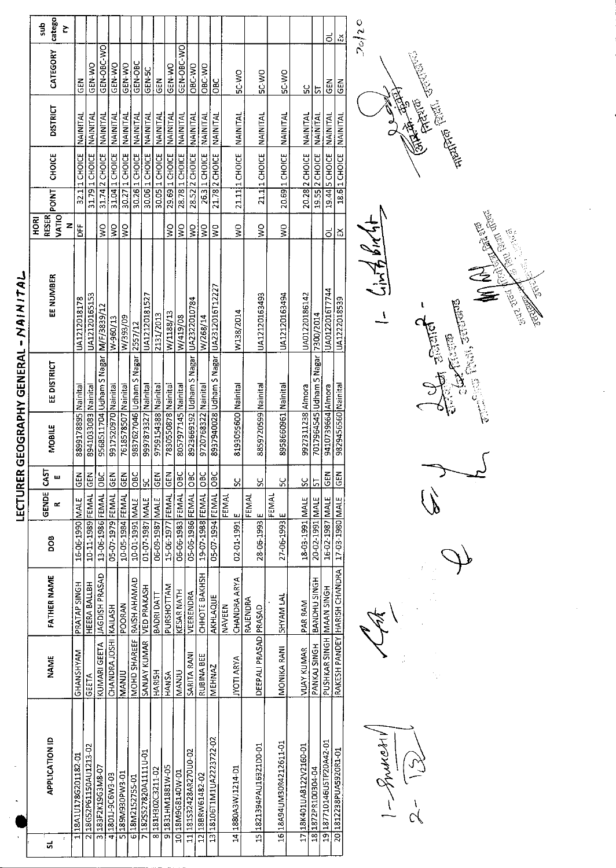| <b>Catego</b><br>Š<br>CATEGORY                                                                                                                                                        | GEN-OBC-WO<br>GEN-OBC-WO<br>GEN-OBC<br>GEN NO<br>GEN-WO<br>GEN-WO<br>GEN-WO                            | OBC WO<br>OBC-WO                                                                                                                 |                                                              |                                                           |
|---------------------------------------------------------------------------------------------------------------------------------------------------------------------------------------|--------------------------------------------------------------------------------------------------------|----------------------------------------------------------------------------------------------------------------------------------|--------------------------------------------------------------|-----------------------------------------------------------|
| M3D<br><b>DISTRICT</b><br>NAINITAL<br>NAINIFAL<br>NAINITAL<br>NAINITAL                                                                                                                | <b>SCN-50</b><br>즈<br>35<br><b>NAINITAL</b><br><b>NAINITAI</b>                                         | <b>DAN 25</b><br>OBC<br><b>NAINITAL</b><br>NAINITAL<br><b>NAINITAL</b>                                                           | <b>DAN 25</b><br><b>DW-25</b><br>NAINITAL<br><b>NAINITAL</b> | ں<br>م<br>5<br>NAINITAL<br>NAINITAL                       |
| 31.79 1 CHOICE NAINITAL<br><b>CHOICE</b>                                                                                                                                              | 29.69 1 CHOICE NAINITAL<br>30.26 1 CHOICE NAINITAL<br>30.05 1 CHOICE NAINITAL                          | 28.52 2 CHOICE NAINITAL                                                                                                          |                                                              |                                                           |
| 31.04 1 CHOICE<br>32.1 1 CHOICE<br>30.27 1 CHOICE<br>31.74 2 CHOICE<br><b>POINT</b>                                                                                                   | 28.78 1 CHOICE<br>30.06 1 CHOICE                                                                       | 21.11 1 CHOICE<br>26.3 1 CHOICE<br>21.78 2 CHOICE                                                                                | 20.69 1 CHOICE<br>21.1 1 CHOICE                              | 20.28 2 CHOICE<br>19.55 2 CHOICE                          |
| VATIO<br>Z<br><b>DFF</b><br>$\frac{0}{2}$<br>Š<br>Š                                                                                                                                   | ş<br>S                                                                                                 | Š<br>Š<br>Š<br>Ş                                                                                                                 | Š<br>Š                                                       |                                                           |
| EE NUMBER<br>UA12120165153<br>UA1212018178<br>W/393/09<br>W-960/13                                                                                                                    | UA12120181527<br>W/1188/13<br>2131/2013<br>W/419/08                                                    | W138/2014<br>W/268/14                                                                                                            | UA12120163493<br>UA12120163494                               | UA01220186142                                             |
| 9568511704 Udham S Nagar   M/F/3839/12<br>9837627046 Udham S Nagar 2557/12<br>EE DISTRICT<br>9917520970 Nainital<br>7618578507 Nainital<br>8899178895 Nainital<br>8941033083 Nainital | 8057977145 Nainital<br>9759154388 Nainital<br>7830550878 Nainital<br>9997873327 Nainital               | 8937940028 Udham S Nagar  UA2312016T12227<br>8923669192 Udham S Nagar UA2322010784<br>8193055600 Nainital<br>9720768322 Nainital | 8958660961 Nainital<br>8859720599 Nainital                   | 7017964545 Udham 5 Nagar   7300/2014<br>9927311238 Almora |
| MOBILE                                                                                                                                                                                |                                                                                                        |                                                                                                                                  |                                                              |                                                           |
| <b>GEN</b><br>$rac{C}{D}$<br>$\mathbf{z}$<br><b>IGEN</b><br>щ<br>œ                                                                                                                    | $\sum_{i=1}^{n}$<br>GEN<br><u>ა</u>                                                                    | 9S<br><b>DBC</b><br><b>DE</b><br>ပွ<br><b>FEMAL</b>                                                                              | š<br>ပ္ပ<br>FEMAL                                            | $\frac{8}{5}$<br>$\frac{1}{2}$                            |
| 13-06-1986 FEMAL OBC<br>10-05-1984 FEMAL GEN<br>10-11-1989 FEMAL<br>05-07-1979 FEMAL<br>16-06-1990 MALE<br>10-01-1991 MALE                                                            | 06-06-1983 FEMAL OBC<br>15-06-1977 FEMAL<br>01-07-1987 MALE<br>06-09-1987 MALE                         | 19 07-1988 FEMAL<br>05-07-1994 FEMAL<br>05-06-1986 FEMAL<br>02-01-1991 E                                                         | FEMAL<br>28-06-1993 E<br>27-06-1993 E                        | 18-03-1991 MALE<br>20-02-1991 MALE                        |
| <b>UAGDISH PRASAD</b><br>HEERA BALLBH<br>PRATAP SINGH<br><b>POORAN</b>                                                                                                                | <b>PURSHOTTAM</b><br><b>KESAR NATH</b><br>BADRI DATT                                                   | CHHOTE BAKHSH<br>CHANDRA ARYA<br>VEERENDRA<br>AKHLAQUE<br>NAVEEN                                                                 | <b>SHYAM LAL</b><br>RAJENDRA                                 | BANDHU SINGH<br>PAR RAM                                   |
| CHANDRA JOSHI KAILASH<br>KUMARI GEETA  <br>GHANSHYAM<br>MANJU<br>GEETA                                                                                                                | MOHD SHAREEF RAISH AHAMAD<br>SANJAY KUMAR TVED PRAKASH<br>HARISH<br>MANJU<br>HANSA                     | SARITA RANI<br>RUBINA BEE<br><b>JYOTI ARYA</b><br><b>MEHNAZ</b>                                                                  | DEEPALI PRASAD PRASAD<br>MONIKA RANI                         | PANKAJ SINGH<br><b>VUAY KUMAR</b>                         |
| 18G52P61150AU1213-02<br>18A1U178G201182-01<br>3 183F2K19G3M8-07<br>LD-EM40EEM681 5<br>418011-9C6W3-03                                                                                 | 7 182SS27820A1111U-01<br>91831HM1881W-05<br>8181H302C3211-02<br>10 18 M9 G8140 W-01<br>6 18M2152755-01 | 13 18106T1M1UA2223722-02<br>11 181532428AR270U0-02<br>14 1880A3WJ1214-D1<br>12 18BRW61482-02                                     | 1618A94UM30R4212611-01<br>15 1821394PAU1632100-01            | 17 18K401UA8122V2160-01<br>18 1872PR100304-04             |
|                                                                                                                                                                                       |                                                                                                        |                                                                                                                                  |                                                              |                                                           |

 $\frac{1-5}{2}$  $\alpha$ 





ိုင

 $\frac{1}{2}$ 



LECTURER GEOGRAPHY GENERAL - NAIN ITAL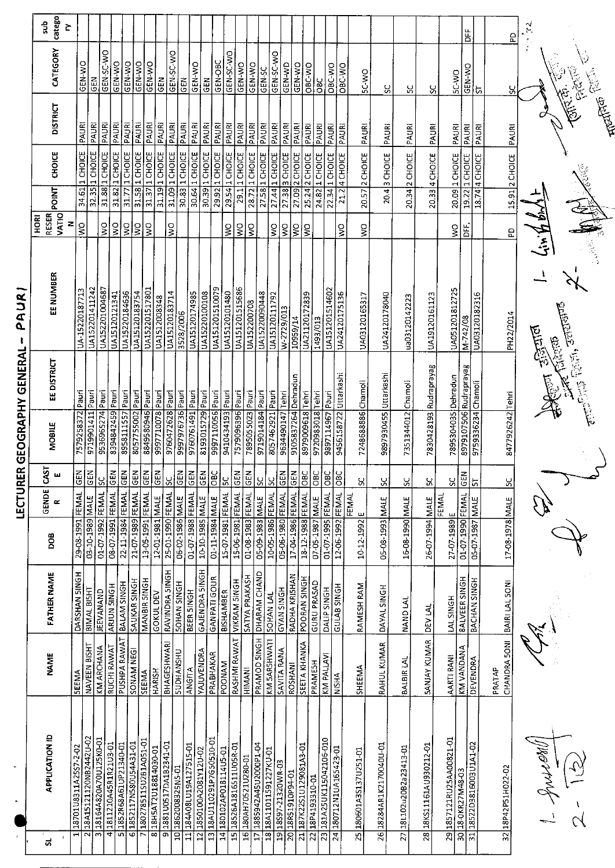|                      | catego<br>dus<br>č            |                            |                                                  |                            |                           |                           |                           |                        |                                                                         |                                        |                                     |                                      |                                 |                        |                      |                                     |                         |                        |                    |                     |                         |                       |                       |                       |                     |                         |                         |                         |                          | 岀                      |                         | <u>a</u>               | $\widetilde{\kappa}$ |                                                                                                                                                                                                                                                                                                                                                                                                                                                                |
|----------------------|-------------------------------|----------------------------|--------------------------------------------------|----------------------------|---------------------------|---------------------------|---------------------------|------------------------|-------------------------------------------------------------------------|----------------------------------------|-------------------------------------|--------------------------------------|---------------------------------|------------------------|----------------------|-------------------------------------|-------------------------|------------------------|--------------------|---------------------|-------------------------|-----------------------|-----------------------|-----------------------|---------------------|-------------------------|-------------------------|-------------------------|--------------------------|------------------------|-------------------------|------------------------|----------------------|----------------------------------------------------------------------------------------------------------------------------------------------------------------------------------------------------------------------------------------------------------------------------------------------------------------------------------------------------------------------------------------------------------------------------------------------------------------|
|                      | CATEGORY                      |                            | GEN-WO                                           | GEN-SC-WO<br>M3D           | GEN-WO                    | GEN-WO                    | GEN-WO                    | <b>GEN-WO</b>          | <b>GEN</b>                                                              | GEN-SC-WO                              | <b>GEN</b>                          | GEN-WO                               | GEN-OBC<br><b>GEN</b>           | GEN-SC-WO              | GEN-WO               | GEN-WO                              | <b>JS-NED</b>           | GEN-SC-WO              | <b>GEN-WD</b>      | GEN-WO              | OBC-WO                  | <b>OBC</b>            | OBC-WO                | OBC-WO                | <b>DA-JS</b>        | ပ္တ                     | ပ္က                     | ပ္တ                     | <b>BC WO</b>             | GEN-WO                 | $\frac{1}{2}$           | ပ္ပ                    | Ŷ                    |                                                                                                                                                                                                                                                                                                                                                                                                                                                                |
|                      | <b>DISTRICT</b>               |                            | PAURI<br>PAURI                                   | PAURI                      | PAURI                     | PAURI                     | PAURI                     | PAURI                  | PAURI                                                                   | PAURI                                  | PAURI                               | <b>PAURI</b>                         | PAURI<br><b>PAURI</b>           | PAURI                  | <b>PAURI</b>         | PAURI                               | PAURI                   | PAURI                  | PAURI              | PAURI               | PAURI                   | PAURI                 | PAURI                 | PAURI                 | PAURI               | PAURI                   | PAURI                   | PAURI                   | <b>PAURI</b>             | PAURI                  | PAURI                   | PAURI                  |                      | mentos                                                                                                                                                                                                                                                                                                                                                                                                                                                         |
|                      | <b>CHOICE</b>                 |                            | 1 CHOICE<br>1 CHOICE                             | 31.88 1 CHOICE             | 31.82 1 CHOICE            | 1 CHOICE                  | 1 CHOICE                  | 1 CHOICE               | 31.19 1 CHOICE                                                          | 31.09 1 CHOICE                         | 30.83 1 CHOICE                      | 30.64 1 CHOICE                       | 1 CHOICE<br>29.92 1 CHOICE      | 29.54 1 CHOICE         | 29.1 1 СНОГСЕ        | 28.72 1 CHOICE                      | 27.58 1 CHOICE          | <b>JJOHOT</b>          | 3 CHOICE           | 27.09 2 CHOICE      | 25.24 2 CHOICE          | L CHOICE              | 1 CHOICE              | 4 CHOICE              | 20.57 2 CHOICE      | 3 CHOICE                | 20.34 2 CHOICE          | 20.33 4 CHOICE          | 20.09 1 CHOICE           | 1 CHOICE               | 18.74 4 CHOICE          | 15.91 2 CHOICE         |                      |                                                                                                                                                                                                                                                                                                                                                                                                                                                                |
|                      | <b>POINT</b>                  |                            | 34.61<br>32.35                                   |                            |                           | 31.77                     | 31.58                     | 31.37                  |                                                                         |                                        |                                     |                                      | 30.39                           |                        |                      |                                     |                         | 27.44                  | 27.38              |                     |                         | 24.82                 | 22.34                 | 21.2                  |                     | 20.4                    |                         |                         |                          | 19.22                  |                         |                        |                      |                                                                                                                                                                                                                                                                                                                                                                                                                                                                |
|                      | VATIO<br><b>RESER</b><br>HORI | z                          | $\zeta$                                          | $\frac{1}{2}$              | $\frac{1}{2}$             | $\frac{8}{5}$             | ΙŞ                        | Ş                      |                                                                         | $\frac{1}{2}$                          |                                     |                                      |                                 |                        |                      |                                     |                         |                        |                    |                     |                         |                       |                       |                       |                     |                         |                         |                         |                          |                        |                         |                        |                      |                                                                                                                                                                                                                                                                                                                                                                                                                                                                |
|                      |                               |                            |                                                  |                            |                           |                           |                           |                        |                                                                         |                                        |                                     |                                      |                                 | $\mathsf S$            | $\frac{1}{2}$        | $\frac{1}{5}$                       |                         | $\frac{1}{2}$          | $\frac{1}{2}$      | ΙŠ                  | g                       |                       |                       | Ş                     | Ş                   |                         |                         |                         | Ş                        | 出<br>DH                |                         | £                      |                      |                                                                                                                                                                                                                                                                                                                                                                                                                                                                |
| PAUR<br>-1           | EE NUMBER                     |                            | UA152201411242<br>UA-15220187713                 | UA152201004687             | UA15120121341             | UA15220184636             | UA15120183754             | UA152201517801         | UA1512008348                                                            | UA15120183714                          | 3528/2006                           | UA15120174985                        | UA151201510079<br>UA15220100108 | UA15120101480          | UA151201515686       | UA152200708                         | UA15220090448           | UA15120111792          | W-2729/013         | 10959/14            | UA21120172839           | 1493/013              | UA151201514602        | UA24120175136         | UA03120165317       | UA24120178040           | ua03120142223           | UA19120161123           | UA051201812725           | M-742/08               | UA03120182316           | PH22/2014              | <b>Picier</b>        | $\frac{1}{2} \left( \frac{1}{2} \right)^{2} \left( \frac{1}{2} \right)^{2} \left( \frac{1}{2} \right)^{2} \left( \frac{1}{2} \right)^{2} \left( \frac{1}{2} \right)^{2} \left( \frac{1}{2} \right)^{2} \left( \frac{1}{2} \right)^{2} \left( \frac{1}{2} \right)^{2} \left( \frac{1}{2} \right)^{2} \left( \frac{1}{2} \right)^{2} \left( \frac{1}{2} \right)^{2} \left( \frac{1}{2} \right)^{2} \left( \frac{1}{2} \right)^{2} \left( \frac$<br>ದ ಪ್ರಾಮ<br>ವಿ |
| ER GEOGRAPHY GENERAL | EE DISTRICT                   |                            |                                                  |                            |                           |                           |                           |                        |                                                                         |                                        |                                     |                                      |                                 |                        |                      |                                     |                         |                        |                    |                     |                         |                       |                       |                       |                     |                         |                         | 7830428193 Rudraprayag  |                          | 8979107506 Rudraprayag |                         |                        |                      |                                                                                                                                                                                                                                                                                                                                                                                                                                                                |
|                      | <b>MOBILE</b>                 | 7579258372 Pauri           | 9719901411 Pauri                                 | 9536965274 Pauri           | 8394842459 Pauri          | 8958111557 Pauri          | 8057755002 Pauri          | 8849580946 Pauri       | 997710078 Pauri                                                         | 9760472628 Pauri                       | 9997976736 Pauri                    | 9760761491 Pauri<br>8193015729 Pauri | 9997110056 Pauri                | 9410434193 Pauri       | 7579096396 Pauri     | 7895055023 Pauri                    | 9719014184 Pauri        | 8057462921 Pauri       | 9634490147 Tehri   | 9105837264 Dehradun | 8979009618 Tehri        | 9720983018 Tehri      | 9897114967 Pauri      | 9456158722 Uttarkashi | 7248688886 Chamoli  | 9897930455 Uttarkashi   | 7351344012 Chamoli      |                         | 7895304035 Dehradun      |                        | 9759336234 Chamoli      | 8477926242 Tehri       |                      |                                                                                                                                                                                                                                                                                                                                                                                                                                                                |
|                      | CAST<br>ш                     | $\frac{1}{2}$              | <b>N3D</b>                                       | $rac{2}{3}$                | $rac{1}{16}$              | <b>ABS</b>                | $rac{1}{2}$               | <b>N39</b>             | <b>R</b>                                                                | <u>ଧ</u>                               | $\frac{1}{\sqrt{2}}$                | <b>GEN</b><br>GEN                    | $\frac{1}{25}$                  | $\frac{8}{2}$          | GEN                  | <b>GEN</b>                          | <u>မ</u>                | ္ဘ                     | $rac{2}{5}$        | <b>N39</b>          | lовс                    | $\overline{\text{B}}$ | $rac{C}{D}$           | $\overline{5}$        | ୪                   | $\frac{5}{2}$           | S                       | ပ္က                     | š                        | GEN                    | 뉴                       | <u>sc</u>              |                      |                                                                                                                                                                                                                                                                                                                                                                                                                                                                |
| LECTUR               | GENDE<br>$\alpha$             |                            |                                                  |                            |                           |                           |                           | FEMAL                  |                                                                         |                                        |                                     |                                      |                                 |                        |                      |                                     |                         |                        |                    |                     |                         |                       |                       |                       | FEMAL               |                         |                         |                         | FEMAL                    |                        |                         |                        |                      |                                                                                                                                                                                                                                                                                                                                                                                                                                                                |
|                      | <b>BOO</b>                    | 29-08-1991 FEMAL           | 3-10-1989 MALE                                   | 01-07-1992 FEMAL           | 08-07-1991 FEMAL          | 22-11-1984 FEMAL          | 21-07-1989 FEMAL          | 13-05-1991             | 12-01-1981 MALE                                                         | 25-01-1990 FEMAL                       | 01-07-1988 FEMAL<br>06-02-1986 MALE | 10-10-1985 MALE                      | 01-11-1984 MALE                 | 15-07-1981 FEMAL       | 15-06-1981 FEMAL     | 01-08-1983 FEMAL<br>05-09-1983 MALE |                         | 10-05-1986 FEMAL       | 05-06-1980 FEMAL   | 17-04-1986 FEMAL    | 18-12-1988 FEMAL        | 07-05-1987 MALE       | 01-07-1995 FEMAL      | 12-06-1992 FEMAL      | 10-12-1992 E        | 05-08-1993 MALE         | 35-08-1990 MALE         | 26-07-1994 MALE         | 27-07-1989 E             | 01-07-1990 FEMAL       | 05-07-1987 MALE         | 17-08-1978 MALE        |                      |                                                                                                                                                                                                                                                                                                                                                                                                                                                                |
|                      | <b>FATHER NAME</b>            | DARSHAN SINGH              | BIMAL BISHT                                      | <b>JEEVANAND</b>           | ARJUN 5INGH               | <b>BALAM SINGH</b>        | SAUKAR SINGH              | MANBIR SINGH           | <b>GOKULDEV</b>                                                         | RAVINDRA SINGH<br><b>SOHAN SINGH</b>   | BEER SINGH                          | GAJENDRA SINGH                       | <b>GANPATI GOUR</b>             | <b>BISHAMBER</b>       | <b>VIKRAM SINGH</b>  | SATYA PRAKASH                       | DHARAM CHAND            | <b>SOHAN LAL</b>       | <b>GYAN SINGH</b>  | RADHA KRISHAN       | POORAN SINGH            | <b>GURU PRASAD</b>    | DALIP SINGH           | <b>HONIS SALD</b>     | RAMESH RAM          | DAYAL SINGH             | <b>NAND LAL</b>         | <b>DEV LAL</b>          | LAL SINGH                | <b>BALVEER SINGH</b>   | BACHAN SINGH            | BAIRI LAL 50NI         |                      |                                                                                                                                                                                                                                                                                                                                                                                                                                                                |
|                      | <b>NAME</b>                   | <b>SEEMA</b>               | NAVEEN BISHT                                     | <b>KM ARCHANA</b>          | RUCHI RAWAT               | PUSHPA RAWAT              | SONAM NEGI                | SEEMA                  | <b>HARISH</b>                                                           | <b>BHAGESHWARI</b><br><b>SUDHANSHU</b> | <b>ANGITA</b>                       | YAJUVENDRA                           | PRABHAKAR                       | <b>POONAM</b>          | RASHMI RAWAT         | HIMANI                              | PRAMOD SINGH            | KM 5AR5HWATI           | SAVITA RANA        | <b>ROSHANI</b>      | <b>SEETA KHANKA</b>     | PRAME5H               | KM PALLAVI            | <b>NISHA</b>          | SHEEMA              | RAHUL KUMAR             | BALBIR LAL              | <b>SANJAY KUMAR</b>     | AARTI RANI               | KM VANDANA             | DEVENDRA                | CHANDRA 50NI<br>PRATAP |                      |                                                                                                                                                                                                                                                                                                                                                                                                                                                                |
|                      | <b>APPLICATION ID</b>         | 18701U8311A25S7-2-02<br>ਜ਼ | 18A15121120NB2442U-02<br>$\overline{\mathsf{N}}$ | 18164A820A70U125K0-01<br>3 | 1811210A45R1R21U3-01<br>4 | 1852R68A61UP21340-01<br>ᅲ | 1852117N580U54A31-01<br>७ | 7180278511SU2B1A051-01 | 1881U0517DA1B2341-01<br>18H5AT2U18814030-01<br>$\overline{\infty}$<br>G | 101862008325N5-01                      | 11 184A08LU19A127515-01             | 1850100A2081Y12U-02                  | 13 18AU110291P7G50510-01        | 14 180102AP018114U5-01 | 18526A1816511U05R-01 | 16 180AH70521U280-01                | 17 1885942A45U2000P1-04 | 18 18A11011591227KU-01 | 1918S97-21320WR-03 | 20 18R51910P94-01   | 21 187K22S1U129081A3-01 | 22 18P4193310-01      | 181A25UK115042106-010 | 180712N1UA165423-01   | 180601A35137U251-01 | 26 18284AR1K2170040U-01 | 27 18L102u20B2a23413-01 | 28 18KS11161AU930212-01 | 29 1857121RU25AA00821-01 | 30 18-0KR27M48-03      | 31 1852203816003U1A1-02 | 32 18P42 P51H022-02    | Mort                 |                                                                                                                                                                                                                                                                                                                                                                                                                                                                |
|                      | ದ                             |                            |                                                  |                            |                           |                           |                           |                        |                                                                         |                                        |                                     | $\overline{2}$                       |                                 |                        | $\overline{15}$      |                                     |                         |                        |                    |                     |                         |                       | $\overline{23}$       | $\overline{a}$        | 25                  |                         |                         |                         |                          |                        |                         |                        |                      |                                                                                                                                                                                                                                                                                                                                                                                                                                                                |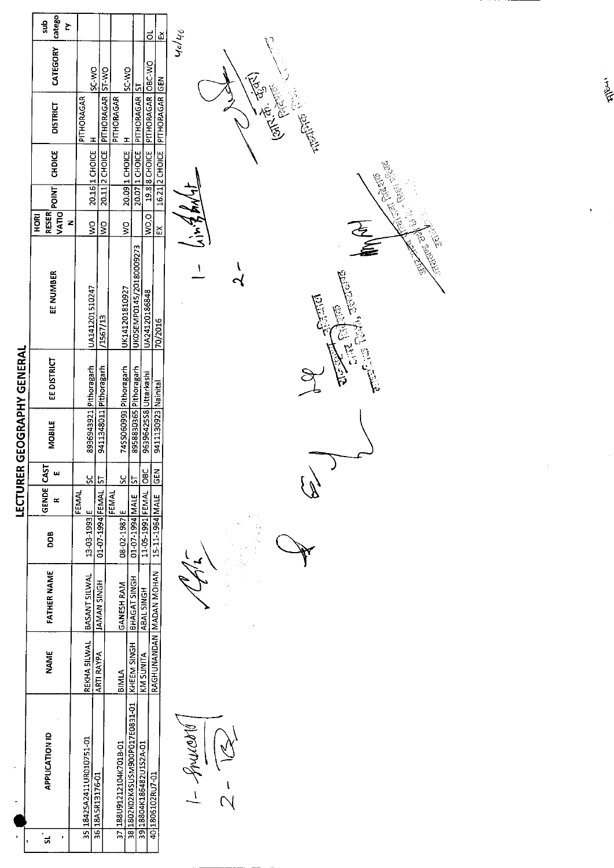|                          | catego<br>duz<br>Š     |                                                  | $\vec{0}$                                                                              | $\tilde{\mathbb{E}}$                                                         |  |
|--------------------------|------------------------|--------------------------------------------------|----------------------------------------------------------------------------------------|------------------------------------------------------------------------------|--|
|                          | CATEGORY               | SC WO<br>$OM-IS$                                 | <b>OW-25</b>                                                                           | 40/46                                                                        |  |
|                          | <b>DISTRICT</b>        | $P$ $THORAGAR$<br>PITHORAGAR<br>$\overline{1}$   | PITHORAGAR OBC-WO<br>20.07 1 CHOICE PITHORAGAR ST<br>PITHORAGAR<br>I                   | 16.212 CHOICE PITHORAGAR GEN<br><b>15.125</b><br><b>HARRY CO.</b>            |  |
|                          | <b>CHDICE</b>          | 20.11 2 CHOICE<br>20.16 1 CHOICE                 | 19.8 SHOICE<br>20.09 1 CHOICE                                                          | California<br>265.00                                                         |  |
|                          | RESER POINT            |                                                  |                                                                                        | $\frac{1}{2}$                                                                |  |
|                          | HORI<br>Z              | $\frac{1}{3}$<br>$\mathbf{S}$                    | wo.ol<br>ş                                                                             | $\frac{42}{7}$ w. 7<br>$\overline{\mathcal{Z}}$<br>$\tilde{\Xi}$<br><b>A</b> |  |
|                          | EE NUMBER              | UA141201510247<br>/1567/13                       | UKOSEMP0145/20180009273<br>UK141201810927<br>UA24120186848                             | ARIS SUNDER<br>l<br>$\overline{\mathbf{C}}$<br>$\frac{5}{6}$<br>70/2016      |  |
| <b>GEOGRAPHY GENERAL</b> | EE DISTRICT            | 8936943921 Pithoragarh<br>9411348011 Pithoragarh | 74SS060993 Pithoragarh<br>8958830365 Pithoragarh                                       | ာ<br>င                                                                       |  |
|                          | <b>MOBILE</b>          |                                                  | 96396425S8 Uttarkashi                                                                  | 9411130923 Nainital                                                          |  |
| LECTURER                 | GENDE CAST<br>$\omega$ | Š<br>5                                           | $rac{6}{1}$<br>$\frac{6}{5}$<br>5                                                      | <b>GEN</b>                                                                   |  |
|                          | $\simeq$               | <b>FEMAL</b>                                     | <b>FEMAL</b>                                                                           |                                                                              |  |
|                          | <b>DOB</b>             | 01-07-1994 FEMAL<br>13-03-1993 E                 | 11-05-1991 FEMAL<br>01-07-1994 MALE<br>08-02-1987 E                                    | 15-11-1964 MALE                                                              |  |
|                          | <b>FATHER NAME</b>     | BASANT SILWAL<br><b>JAMAN SINGH</b>              | <b>BHAGAT SINGH</b><br><b>GANESH RAM</b><br>ABAL SINGH                                 | RAGHUNANDAN MADAN MOHAN                                                      |  |
|                          | NAME                   | REKHA SILWAL<br><b>ARTI RAYPA</b>                | KHEEM SINGH<br><b>KM SUNITA</b><br>BIMLA                                               |                                                                              |  |
|                          | <b>APPLICATION ID</b>  | 35 1842SA2411UR010751-01<br>36 18A5R13176-01     | 38 1802K02K4SUSM900P017E0831-01<br>37 188 U91212104 K7018-01<br>1918804K186482U1S2A-01 | of murant<br>401806102RU7-01<br>$\frac{1}{2}$                                |  |
| ŀ۱                       | ั่ส<br>٢               |                                                  |                                                                                        |                                                                              |  |

**They**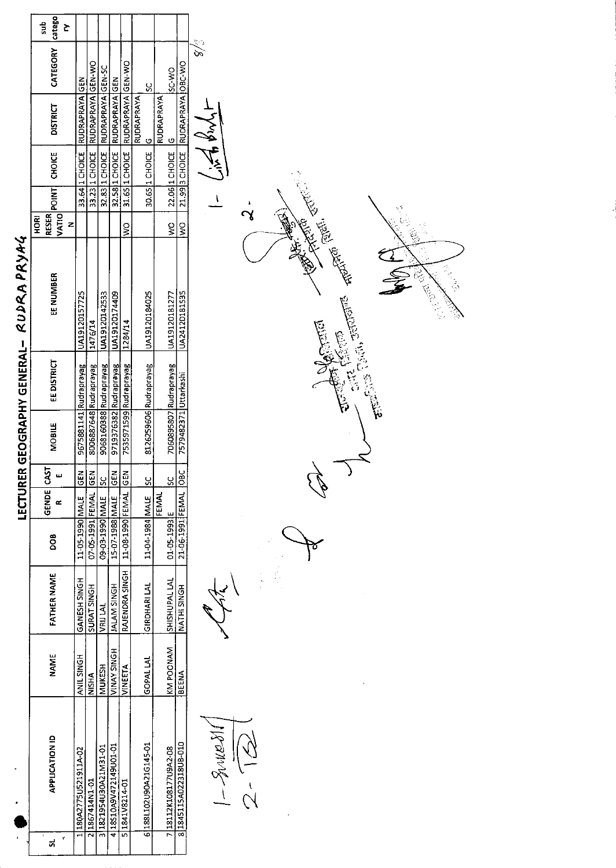|                             | catego<br>sub<br>Č                                                             |                        |                        |                         |                        |                        |                        |                                     |                                 |                                                                                         |
|-----------------------------|--------------------------------------------------------------------------------|------------------------|------------------------|-------------------------|------------------------|------------------------|------------------------|-------------------------------------|---------------------------------|-----------------------------------------------------------------------------------------|
|                             | CATEGORY                                                                       | <b>GEN</b>             |                        |                         |                        |                        | ပ္တ                    | SC-WO                               |                                 | e /e                                                                                    |
|                             | <b>DISTRICT</b>                                                                | <b>RUDRAPRAYA</b>      | RUDRAPRAYA GEN-WO      | RUDRAPRAYA GEN-SC       | <b>RUDRAPRAYA</b> GEN  | RUDRAPRAYA GEN-WO      | RUDRAPRAYA<br>$\circ$  | <b>RUDRAPRAYA</b><br>$\overline{a}$ | 21.993 CHOICE RUDRAPRAYA OBC-WO |                                                                                         |
|                             | <b>CHOICE</b>                                                                  | 33.64 1 CHOICE         | 33.23 1 CHOICE         | 32.83 1 CHOICE          | 32.58 1 CHOICE         | 31.65 1 CHOICE         | 30.65 1 CHOICE         | 22.06 1 CHOICE                      |                                 |                                                                                         |
|                             |                                                                                |                        |                        |                         |                        |                        |                        |                                     |                                 | ٠                                                                                       |
|                             | $ \text{vario} ^{\text{point}}$<br><b>RESER</b><br>$rac{R}{2}$<br>$\mathbf{z}$ |                        |                        |                         |                        | $\frac{1}{2}$          |                        | ş                                   | $\frac{8}{5}$                   |                                                                                         |
| RUDRA PRYAG                 | EE NUMBER                                                                      | UA19120157725          | 1476/14                | UA19120142533           | UA19120174409          | 1284/14                | UA19120184025          | UA19120181277                       | UA2412D181535                   | <b>CENTER PORTER</b><br>Calledge Library<br>Caria, <del>saranta</del> -<br><b>ACTES</b> |
| LECTURER GEOGRAPHY GENERAL- | <b>EE DISTRICT</b>                                                             | 9675881141 Rudraprayag | 8006887648 Rudraprayag | 9068160388 Rudraprayag  | 9719376382 Rudraprayag | 7535971599 Rudraprayag | 8126259606 Rudraprayag | 7060895807 Rudraprayag              |                                 |                                                                                         |
|                             | <b>MOBILE</b>                                                                  |                        |                        |                         |                        |                        |                        |                                     | 7579482371 Uttarkashi           |                                                                                         |
|                             | <b>CAST</b><br>ш                                                               | GEN                    | $\overline{65}$        |                         | <u>          </u><br>  | GEN                    | <u>୪</u>               | <u>ន</u>                            |                                 |                                                                                         |
|                             | GENDE<br>$\pmb{\propto}$                                                       |                        |                        |                         |                        |                        |                        | <b>FEMAL</b>                        |                                 |                                                                                         |
|                             | <b>BOO</b>                                                                     | 11-05-1990 MALE        | 07-05-1991 FEMAL       | 34Mpeet-E0-60           | 15-07-1988 MALE        | 11-08-1990 FEMAL       | 11-04-1984 MALE        | 01-05-1993 E                        | 21-06-1991 FEMAL OBC            |                                                                                         |
|                             | <b>FATHER NAME</b>                                                             | GANESH SINGH           | SURAT SINGH            | VRIJ LAL                | <b>HOMIS MAJAL</b>     | RAJENDRA SINGH         | <b>GIRDHARILAL</b>     | SHISHUPAL LAL                       | NATHI SINGH                     |                                                                                         |
|                             | <b>NAME</b>                                                                    | ANIL SINGH             | <b>NISHA</b>           | <b>MUKESH</b>           | <b>VINAY SINGH</b>     | <b>VINEETA</b>         | <b>GOPAL LAL</b>       | KM POONAM                           | BEENA                           |                                                                                         |
|                             | <b>APPLICATION ID</b><br>ŕ<br>ದ                                                | 1 180A2775U521911A-02  | 21867414N1-01          | 10-TEMTZYOE012521791-01 | 418S10A9V472149U01-01  | 51841V8214-01          | 6188L102U90A21G145-01  | 7 18112K108177U9A2-08               | 81845115A022318UB-010           | $\frac{1}{1600006}-1$                                                                   |
|                             |                                                                                |                        |                        |                         |                        |                        |                        |                                     |                                 |                                                                                         |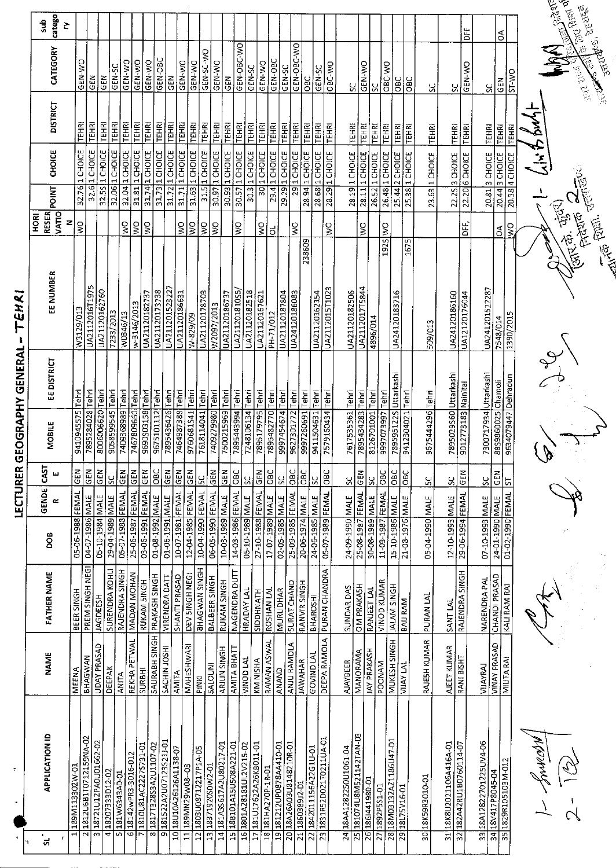1- frompt

DR.C.  $\mathscr{A}$ 

**Company of the State of the State of the State of the State of the State of the State of the State of the State** 

**Algebrary CONNACTOR** 

**COLLA**<br>Antio Both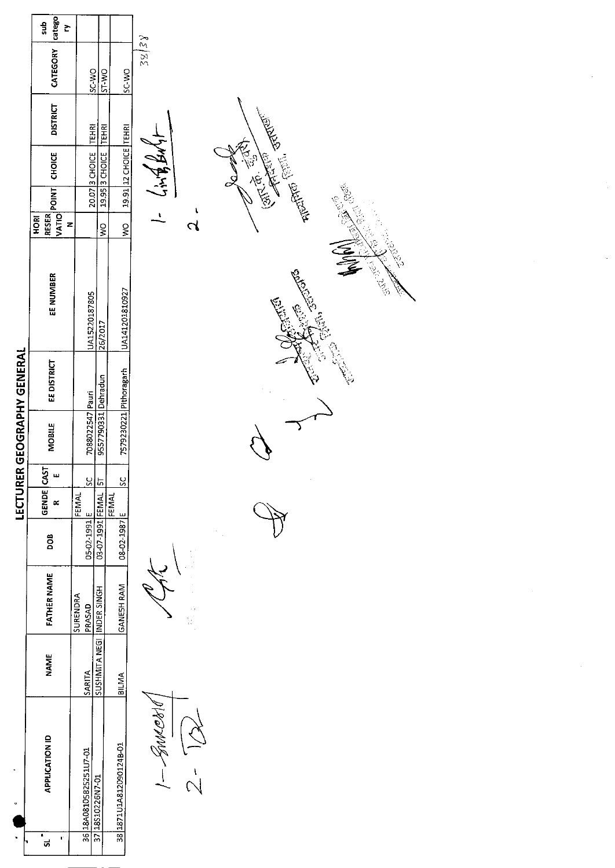| dus<br>č                   |                                                                                          |                                |                                                                                                                                                                                                                 |                                                                                                                                                                                                                                                                                                                                                                                                   |
|----------------------------|------------------------------------------------------------------------------------------|--------------------------------|-----------------------------------------------------------------------------------------------------------------------------------------------------------------------------------------------------------------|---------------------------------------------------------------------------------------------------------------------------------------------------------------------------------------------------------------------------------------------------------------------------------------------------------------------------------------------------------------------------------------------------|
| CATEGORY                   |                                                                                          |                                | SC-WO                                                                                                                                                                                                           | 38/38                                                                                                                                                                                                                                                                                                                                                                                             |
| <b>DISTRICT</b>            |                                                                                          |                                |                                                                                                                                                                                                                 |                                                                                                                                                                                                                                                                                                                                                                                                   |
| <b>CHOICE</b>              |                                                                                          |                                |                                                                                                                                                                                                                 | <b>THE STATE POSTER</b><br>$1 - 4\pi 88447$<br><b>Contraction</b>                                                                                                                                                                                                                                                                                                                                 |
| HORI                       |                                                                                          | $\geq$                         | $\frac{8}{1}$                                                                                                                                                                                                   | <b>BEC</b><br><b>Algebrary</b><br>$\mathbf{r}$<br>$\overline{\mathcal{C}}$                                                                                                                                                                                                                                                                                                                        |
| EE NUMBER                  |                                                                                          |                                |                                                                                                                                                                                                                 | Contractor<br><b>SOMED</b><br><b>CENT CREW</b><br><b>College Sections</b><br><b>ENS</b>                                                                                                                                                                                                                                                                                                           |
| EE DISTRICT                |                                                                                          |                                |                                                                                                                                                                                                                 |                                                                                                                                                                                                                                                                                                                                                                                                   |
| MOBILE                     |                                                                                          |                                |                                                                                                                                                                                                                 |                                                                                                                                                                                                                                                                                                                                                                                                   |
| w                          | $\overline{\text{sc}}$                                                                   |                                | $rac{c}{s}$                                                                                                                                                                                                     |                                                                                                                                                                                                                                                                                                                                                                                                   |
|                            |                                                                                          |                                |                                                                                                                                                                                                                 |                                                                                                                                                                                                                                                                                                                                                                                                   |
|                            |                                                                                          |                                |                                                                                                                                                                                                                 |                                                                                                                                                                                                                                                                                                                                                                                                   |
|                            | <b>SURENDRA</b><br>PRASAD                                                                |                                |                                                                                                                                                                                                                 | $\begin{array}{c} \frac{1}{2} \frac{1}{2} \frac{1}{2} \frac{1}{2} \frac{1}{2} \frac{1}{2} \frac{1}{2} \frac{1}{2} \frac{1}{2} \frac{1}{2} \frac{1}{2} \frac{1}{2} \frac{1}{2} \frac{1}{2} \frac{1}{2} \frac{1}{2} \frac{1}{2} \frac{1}{2} \frac{1}{2} \frac{1}{2} \frac{1}{2} \frac{1}{2} \frac{1}{2} \frac{1}{2} \frac{1}{2} \frac{1}{2} \frac{1}{2} \frac{1}{2} \frac{1}{2} \frac{1}{2} \frac{$ |
| <b>NAME</b>                | SARITA                                                                                   |                                | BILMA                                                                                                                                                                                                           |                                                                                                                                                                                                                                                                                                                                                                                                   |
| <b>APPLICATION ID</b><br>ť |                                                                                          |                                | 38 1871 U1A812090124B-01                                                                                                                                                                                        | $-$ Someon                                                                                                                                                                                                                                                                                                                                                                                        |
|                            | catego<br>RESER<br>VATIO<br>GENDE CAST<br>$\propto$<br>DOB<br><b>FATHER NAME</b><br>ડા - | z<br>7088022547 Pauri<br>FEMAL | OW JS<br>TEHRI<br>20.07 3 CHOICE<br>UA15220187805<br>26/2017<br>9557790331 Dehradun<br>51<br>03-07-1991 FEMAL<br>05-02-1991 E<br><b>HOMIS AJONE IDJN ATIMHSOS</b><br>36 18A08105825251U7-01<br>37 18S10226N7-01 | ST-WO<br>19.91 12 CHOICE TEHRI<br><b>TEHRI</b><br>19.95 3 CHOICE<br>UA141201810927<br>7579230221 Pithoragarh<br><b>FEMAL</b><br>08-02-1987 E<br>GANESH RAM                                                                                                                                                                                                                                        |

 $\sigma_{\rm{max}}$ 

 $\frac{1}{2}$ 

 $\label{eq:2.1} \frac{1}{\sqrt{2}}\int_{0}^{\infty}\frac{d\mu}{\sqrt{2}}\,d\mu\,d\mu\,.$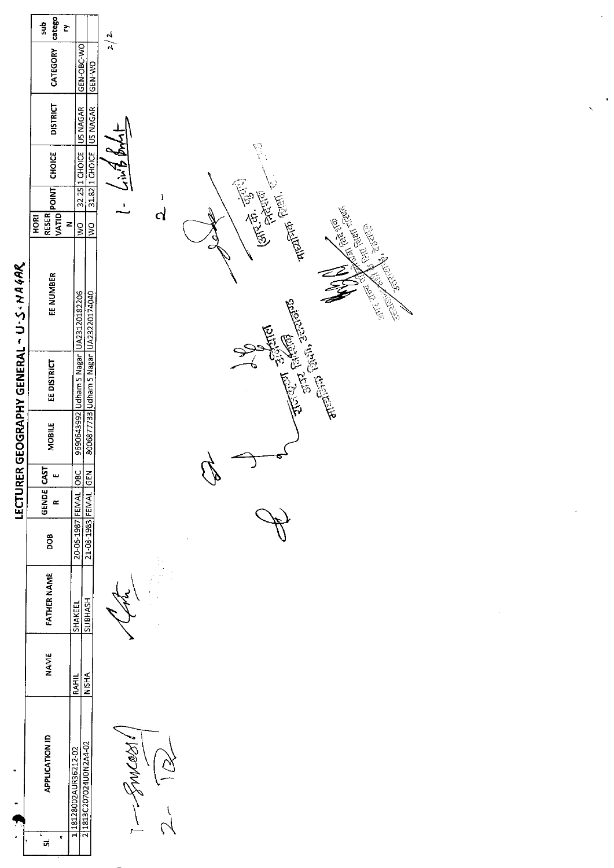|                                        | catego<br>duz<br>Š                                    |                                                                  | 2/2                                                                                                                                                                                     |
|----------------------------------------|-------------------------------------------------------|------------------------------------------------------------------|-----------------------------------------------------------------------------------------------------------------------------------------------------------------------------------------|
|                                        | CATEGORY                                              | GEN-OBC-WO<br>GEN-WO                                             |                                                                                                                                                                                         |
|                                        | <b>DISTRICT</b>                                       | 32.25 1 CHOICE US NAGAR<br>31.82 1 CHOICE US NAGAR               |                                                                                                                                                                                         |
|                                        | CHOICE                                                |                                                                  | 42841<br>$\frac{1}{2}$                                                                                                                                                                  |
|                                        |                                                       |                                                                  | ı<br>$\mathbf{r}$                                                                                                                                                                       |
|                                        | $ \text{varic} ^{\text{point}}$<br>RESER<br>HORI<br>z | $rac{1}{2}$<br>$\frac{1}{2}$                                     | <b>1977. 25. 69. 198.</b><br><b>The Country of the American State</b><br>તે                                                                                                             |
| LECTURER GEOGRAPHY GENERAL - U-S-NA4AR | EE NUMBER                                             | UA23120182206<br>8006877733 Udham S Nagar UA23220174040          | <b>Communication Communication</b><br>A TRIVER REVIEWS<br><b>Collage School School</b><br><b>CONSTRUCTION AND RESPECTABLE PROPERTY</b><br>The Chain Jerry of<br><b>REFERENCE STATES</b> |
|                                        | EE DISTRICT                                           |                                                                  |                                                                                                                                                                                         |
|                                        |                                                       |                                                                  |                                                                                                                                                                                         |
|                                        | MOBILE                                                | 9690643992 Udham S Nagar                                         |                                                                                                                                                                                         |
|                                        | GENDE CAST<br>ш                                       |                                                                  | P.                                                                                                                                                                                      |
|                                        | $\approx$                                             |                                                                  |                                                                                                                                                                                         |
|                                        | <b>BOO</b>                                            | 20-06-1987 FEMAL OBC<br>21-08-1983 FEMAL GEN<br>20-06-1987 FEMAL |                                                                                                                                                                                         |
|                                        | <b>FATHER NAME</b>                                    | <b>SUBHASH</b><br>SHAKEEL                                        |                                                                                                                                                                                         |
|                                        | <b>NAME</b>                                           | <b>NISHA</b><br>RAHIL                                            |                                                                                                                                                                                         |
|                                        | <b>APPLICATION ID</b><br>ł<br>ŧ<br>ದ                  | 21813C207024U0N2A4-02<br>1 18128002AUR36212-02                   | Magny<br>$\frac{1}{\sqrt{2}}$                                                                                                                                                           |

Ŷ,

 $\bullet$ 

 $\frac{1}{2} \frac{1}{2} \frac{1}{2} \frac{1}{2}$